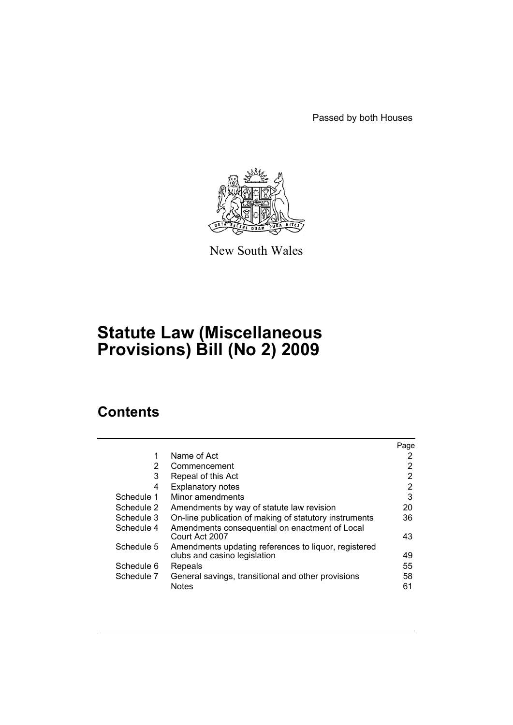Passed by both Houses



New South Wales

# **Statute Law (Miscellaneous Provisions) Bill (No 2) 2009**

# **Contents**

|            |                                                                  | Page |
|------------|------------------------------------------------------------------|------|
| 1          | Name of Act                                                      | 2    |
| 2          | Commencement                                                     | 2    |
| 3          | Repeal of this Act                                               | 2    |
| 4          | <b>Explanatory notes</b>                                         | 2    |
| Schedule 1 | Minor amendments                                                 | 3    |
| Schedule 2 | Amendments by way of statute law revision                        | 20   |
| Schedule 3 | On-line publication of making of statutory instruments           | 36   |
| Schedule 4 | Amendments consequential on enactment of Local<br>Court Act 2007 | 43   |
| Schedule 5 | Amendments updating references to liquor, registered             |      |
|            | clubs and casino legislation                                     | 49   |
| Schedule 6 | Repeals                                                          | 55   |
| Schedule 7 | General savings, transitional and other provisions               | 58   |
|            | <b>Notes</b>                                                     | 61   |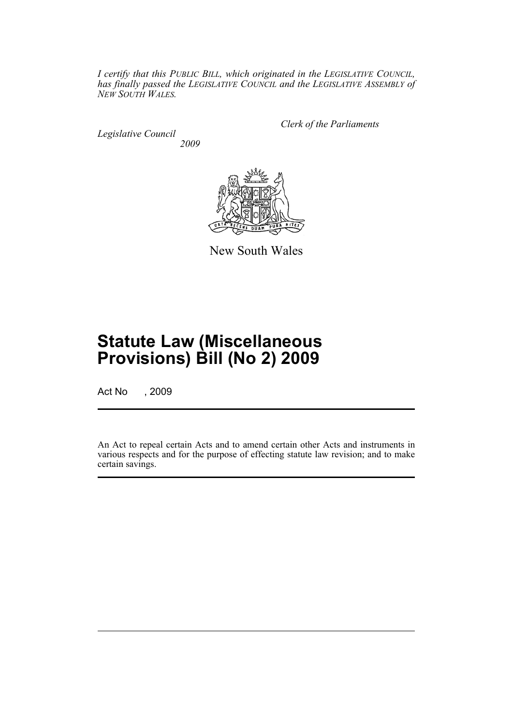*I certify that this PUBLIC BILL, which originated in the LEGISLATIVE COUNCIL, has finally passed the LEGISLATIVE COUNCIL and the LEGISLATIVE ASSEMBLY of NEW SOUTH WALES.*

*Legislative Council 2009* *Clerk of the Parliaments*



New South Wales

# **Statute Law (Miscellaneous Provisions) Bill (No 2) 2009**

Act No , 2009

An Act to repeal certain Acts and to amend certain other Acts and instruments in various respects and for the purpose of effecting statute law revision; and to make certain savings.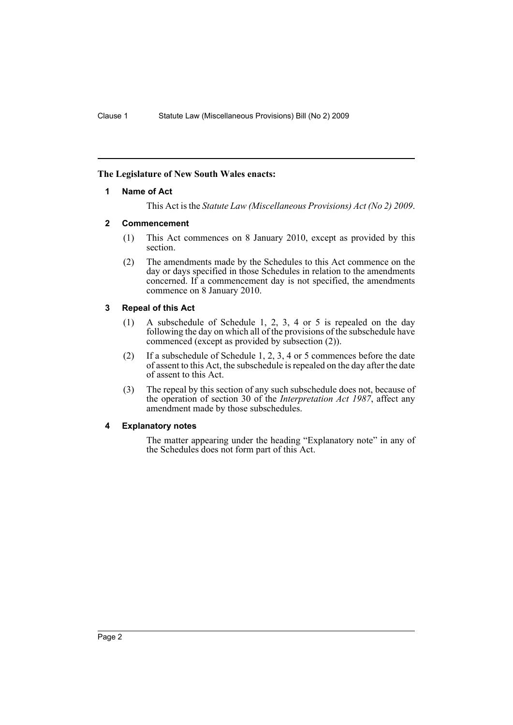### <span id="page-3-0"></span>**The Legislature of New South Wales enacts:**

#### **1 Name of Act**

This Act is the *Statute Law (Miscellaneous Provisions) Act (No 2) 2009*.

#### <span id="page-3-1"></span>**2 Commencement**

- (1) This Act commences on 8 January 2010, except as provided by this section.
- (2) The amendments made by the Schedules to this Act commence on the day or days specified in those Schedules in relation to the amendments concerned. If a commencement day is not specified, the amendments commence on 8 January 2010.

### <span id="page-3-2"></span>**3 Repeal of this Act**

- (1) A subschedule of Schedule 1, 2, 3, 4 or 5 is repealed on the day following the day on which all of the provisions of the subschedule have commenced (except as provided by subsection (2)).
- (2) If a subschedule of Schedule 1, 2, 3, 4 or 5 commences before the date of assent to this Act, the subschedule is repealed on the day after the date of assent to this Act.
- (3) The repeal by this section of any such subschedule does not, because of the operation of section 30 of the *Interpretation Act 1987*, affect any amendment made by those subschedules.

#### <span id="page-3-3"></span>**4 Explanatory notes**

The matter appearing under the heading "Explanatory note" in any of the Schedules does not form part of this Act.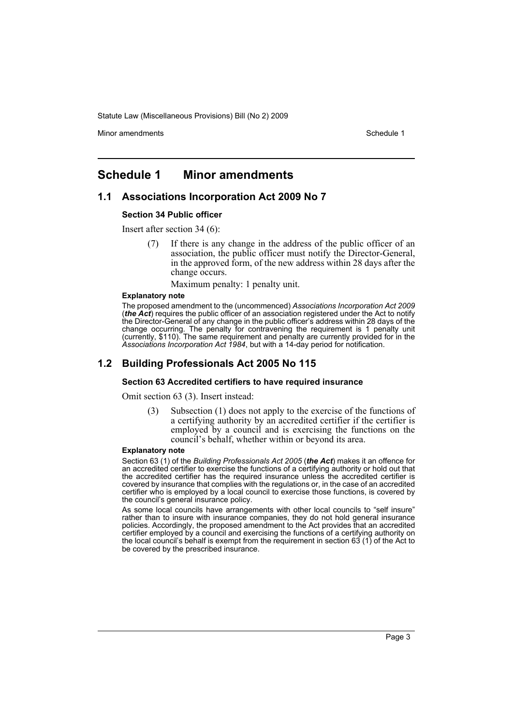Minor amendments **Schedule 1** and the state of the state 1 and the state of the Schedule 1

## <span id="page-4-0"></span>**Schedule 1 Minor amendments**

#### **1.1 Associations Incorporation Act 2009 No 7**

#### **Section 34 Public officer**

Insert after section 34 (6):

- (7) If there is any change in the address of the public officer of an association, the public officer must notify the Director-General, in the approved form, of the new address within 28 days after the change occurs.
	- Maximum penalty: 1 penalty unit.

#### **Explanatory note**

The proposed amendment to the (uncommenced) *Associations Incorporation Act 2009* (*the Act*) requires the public officer of an association registered under the Act to notify the Director-General of any change in the public officer's address within 28 days of the change occurring. The penalty for contravening the requirement is 1 penalty unit (currently, \$110). The same requirement and penalty are currently provided for in the *Associations Incorporation Act 1984*, but with a 14-day period for notification.

### **1.2 Building Professionals Act 2005 No 115**

#### **Section 63 Accredited certifiers to have required insurance**

Omit section 63 (3). Insert instead:

(3) Subsection (1) does not apply to the exercise of the functions of a certifying authority by an accredited certifier if the certifier is employed by a council and is exercising the functions on the council's behalf, whether within or beyond its area.

#### **Explanatory note**

Section 63 (1) of the *Building Professionals Act 2005* (*the Act*) makes it an offence for an accredited certifier to exercise the functions of a certifying authority or hold out that the accredited certifier has the required insurance unless the accredited certifier is covered by insurance that complies with the regulations or, in the case of an accredited certifier who is employed by a local council to exercise those functions, is covered by the council's general insurance policy.

As some local councils have arrangements with other local councils to "self insure" rather than to insure with insurance companies, they do not hold general insurance policies. Accordingly, the proposed amendment to the Act provides that an accredited certifier employed by a council and exercising the functions of a certifying authority on the local council's behalf is exempt from the requirement in section 63 (1) of the Act to be covered by the prescribed insurance.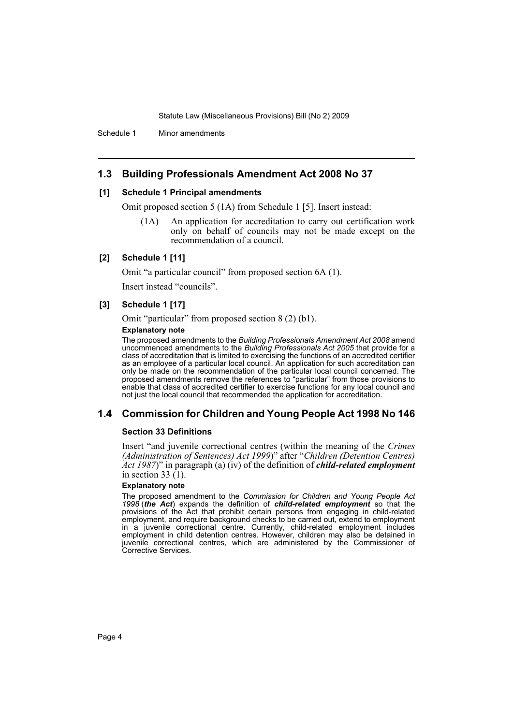Schedule 1 Minor amendments

## **1.3 Building Professionals Amendment Act 2008 No 37**

#### **[1] Schedule 1 Principal amendments**

Omit proposed section 5 (1A) from Schedule 1 [5]. Insert instead:

(1A) An application for accreditation to carry out certification work only on behalf of councils may not be made except on the recommendation of a council.

#### **[2] Schedule 1 [11]**

Omit "a particular council" from proposed section 6A (1).

Insert instead "councils".

#### **[3] Schedule 1 [17]**

Omit "particular" from proposed section 8 (2) (b1).

#### **Explanatory note**

The proposed amendments to the *Building Professionals Amendment Act 2008* amend uncommenced amendments to the *Building Professionals Act 2005* that provide for a class of accreditation that is limited to exercising the functions of an accredited certifier as an employee of a particular local council. An application for such accreditation can only be made on the recommendation of the particular local council concerned. The proposed amendments remove the references to "particular" from those provisions to enable that class of accredited certifier to exercise functions for any local council and not just the local council that recommended the application for accreditation.

## **1.4 Commission for Children and Young People Act 1998 No 146**

#### **Section 33 Definitions**

Insert "and juvenile correctional centres (within the meaning of the *Crimes (Administration of Sentences) Act 1999*)" after "*Children (Detention Centres) Act 1987*)" in paragraph (a) (iv) of the definition of *child-related employment* in section 33  $(1)$ .

#### **Explanatory note**

The proposed amendment to the *Commission for Children and Young People Act 1998* (*the Act*) expands the definition of *child-related employment* so that the provisions of the Act that prohibit certain persons from engaging in child-related employment, and require background checks to be carried out, extend to employment in a juvenile correctional centre. Currently, child-related employment includes employment in child detention centres. However, children may also be detained in juvenile correctional centres, which are administered by the Commissioner of Corrective Services.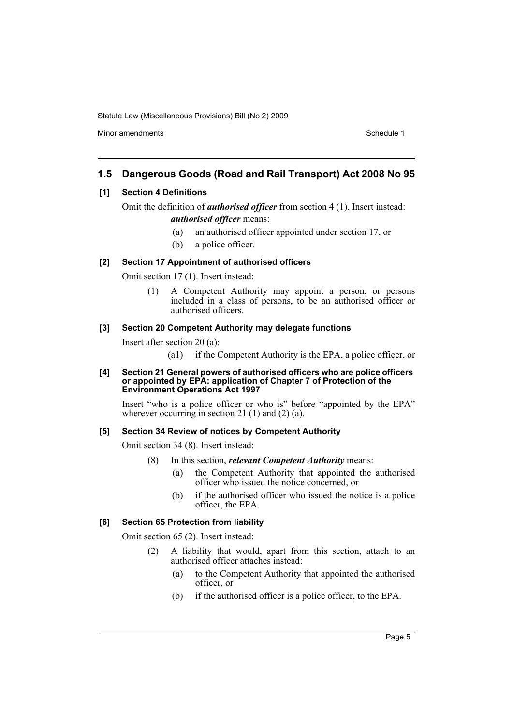Minor amendments **Schedule 1** and the state of the state 1 and the state of the Schedule 1

## **1.5 Dangerous Goods (Road and Rail Transport) Act 2008 No 95**

### **[1] Section 4 Definitions**

Omit the definition of *authorised officer* from section 4 (1). Insert instead: *authorised officer* means:

- (a) an authorised officer appointed under section 17, or
- (b) a police officer.

#### **[2] Section 17 Appointment of authorised officers**

Omit section 17 (1). Insert instead:

(1) A Competent Authority may appoint a person, or persons included in a class of persons, to be an authorised officer or authorised officers.

#### **[3] Section 20 Competent Authority may delegate functions**

Insert after section 20 (a):

(a1) if the Competent Authority is the EPA, a police officer, or

#### **[4] Section 21 General powers of authorised officers who are police officers or appointed by EPA: application of Chapter 7 of Protection of the Environment Operations Act 1997**

Insert "who is a police officer or who is" before "appointed by the EPA" wherever occurring in section 21  $(1)$  and  $(2)$   $(a)$ .

#### **[5] Section 34 Review of notices by Competent Authority**

Omit section 34 (8). Insert instead:

- (8) In this section, *relevant Competent Authority* means:
	- (a) the Competent Authority that appointed the authorised officer who issued the notice concerned, or
	- (b) if the authorised officer who issued the notice is a police officer, the EPA.

#### **[6] Section 65 Protection from liability**

Omit section 65 (2). Insert instead:

- (2) A liability that would, apart from this section, attach to an authorised officer attaches instead:
	- (a) to the Competent Authority that appointed the authorised officer, or
	- (b) if the authorised officer is a police officer, to the EPA.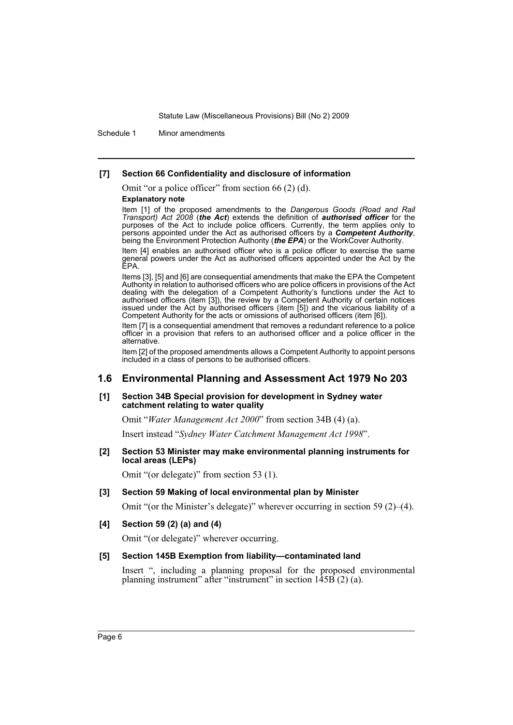Schedule 1 Minor amendments

#### **[7] Section 66 Confidentiality and disclosure of information**

Omit "or a police officer" from section 66 (2) (d).

#### **Explanatory note**

Item [1] of the proposed amendments to the *Dangerous Goods (Road and Rail Transport) Act 2008* (*the Act*) extends the definition of *authorised officer* for the purposes of the Act to include police officers. Currently, the term applies only to persons appointed under the Act as authorised officers by a *Competent Authority*, being the Environment Protection Authority (*the EPA*) or the WorkCover Authority.

Item [4] enables an authorised officer who is a police officer to exercise the same general powers under the Act as authorised officers appointed under the Act by the EPA.

Items [3], [5] and [6] are consequential amendments that make the EPA the Competent Authority in relation to authorised officers who are police officers in provisions of the Act dealing with the delegation of a Competent Authority's functions under the Act to authorised officers (item [3]), the review by a Competent Authority of certain notices issued under the Act by authorised officers (item [5]) and the vicarious liability of a Competent Authority for the acts or omissions of authorised officers (item [6]).

Item [7] is a consequential amendment that removes a redundant reference to a police officer in a provision that refers to an authorised officer and a police officer in the alternative.

Item [2] of the proposed amendments allows a Competent Authority to appoint persons included in a class of persons to be authorised officers.

#### **1.6 Environmental Planning and Assessment Act 1979 No 203**

#### **[1] Section 34B Special provision for development in Sydney water catchment relating to water quality**

Omit "*Water Management Act 2000*" from section 34B (4) (a).

Insert instead "*Sydney Water Catchment Management Act 1998*".

#### **[2] Section 53 Minister may make environmental planning instruments for local areas (LEPs)**

Omit "(or delegate)" from section 53 (1).

#### **[3] Section 59 Making of local environmental plan by Minister**

Omit "(or the Minister's delegate)" wherever occurring in section 59 (2)–(4).

#### **[4] Section 59 (2) (a) and (4)**

Omit "(or delegate)" wherever occurring.

#### **[5] Section 145B Exemption from liability—contaminated land**

Insert ", including a planning proposal for the proposed environmental planning instrument" after "instrument" in section 145B (2) (a).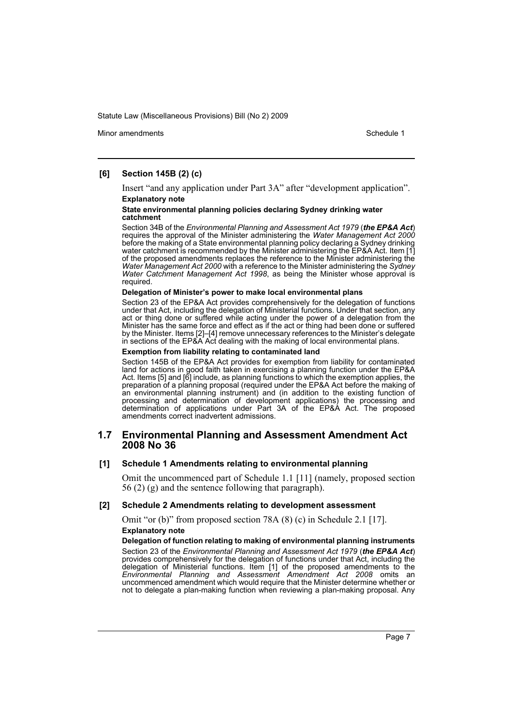Minor amendments **Schedule 1** and the state of the state 1 and the state of the Schedule 1

### **[6] Section 145B (2) (c)**

Insert "and any application under Part 3A" after "development application". **Explanatory note**

#### **State environmental planning policies declaring Sydney drinking water catchment**

Section 34B of the *Environmental Planning and Assessment Act 1979* (*the EP&A Act*) requires the approval of the Minister administering the *Water Management Act 2000* before the making of a State environmental planning policy declaring a Sydney drinking water catchment is recommended by the Minister administering the EP&A Act. Item [1] of the proposed amendments replaces the reference to the Minister administering the *Water Management Act 2000* with a reference to the Minister administering the *Sydney Water Catchment Management Act 1998*, as being the Minister whose approval is required.

#### **Delegation of Minister's power to make local environmental plans**

Section 23 of the EP&A Act provides comprehensively for the delegation of functions under that Act, including the delegation of Ministerial functions. Under that section, any act or thing done or suffered while acting under the power of a delegation from the Minister has the same force and effect as if the act or thing had been done or suffered by the Minister. Items [2]–[4] remove unnecessary references to the Minister's delegate in sections of the EP&A Act dealing with the making of local environmental plans.

#### **Exemption from liability relating to contaminated land**

Section 145B of the EP&A Act provides for exemption from liability for contaminated land for actions in good faith taken in exercising a planning function under the EP&A Act. Items [5] and [6] include, as planning functions to which the exemption applies, the preparation of a planning proposal (required under the EP&A Act before the making of an environmental planning instrument) and (in addition to the existing function of processing and determination of development applications) the processing and determination of applications under Part 3A of the EP&A Act. The proposed amendments correct inadvertent admissions.

### **1.7 Environmental Planning and Assessment Amendment Act 2008 No 36**

#### **[1] Schedule 1 Amendments relating to environmental planning**

Omit the uncommenced part of Schedule 1.1 [11] (namely, proposed section 56 (2) (g) and the sentence following that paragraph).

#### **[2] Schedule 2 Amendments relating to development assessment**

Omit "or (b)" from proposed section 78A (8) (c) in Schedule 2.1 [17].

## **Explanatory note**

**Delegation of function relating to making of environmental planning instruments** Section 23 of the *Environmental Planning and Assessment Act 1979* (*the EP&A Act*) provides comprehensively for the delegation of functions under that Act, including the delegation of Ministerial functions. Item [1] of the proposed amendments to the *Environmental Planning and Assessment Amendment Act 2008* omits an uncommenced amendment which would require that the Minister determine whether or not to delegate a plan-making function when reviewing a plan-making proposal. Any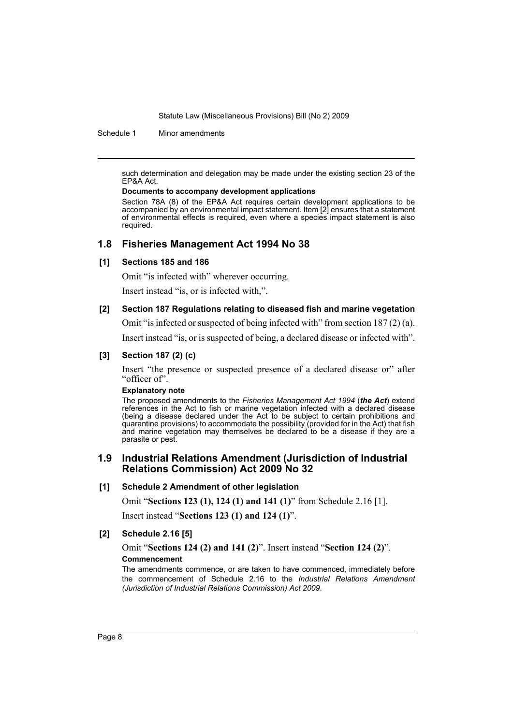Schedule 1 Minor amendments

such determination and delegation may be made under the existing section 23 of the EP&A Act.

#### **Documents to accompany development applications**

Section 78A (8) of the EP&A Act requires certain development applications to be accompanied by an environmental impact statement. Item [2] ensures that a statement of environmental effects is required, even where a species impact statement is also required.

#### **1.8 Fisheries Management Act 1994 No 38**

#### **[1] Sections 185 and 186**

Omit "is infected with" wherever occurring.

Insert instead "is, or is infected with,".

#### **[2] Section 187 Regulations relating to diseased fish and marine vegetation**

Omit "is infected or suspected of being infected with" from section 187 (2) (a).

Insert instead "is, or is suspected of being, a declared disease or infected with".

#### **[3] Section 187 (2) (c)**

Insert "the presence or suspected presence of a declared disease or" after "officer of".

#### **Explanatory note**

The proposed amendments to the *Fisheries Management Act 1994* (*the Act*) extend references in the Act to fish or marine vegetation infected with a declared disease (being a disease declared under the Act to be subject to certain prohibitions and quarantine provisions) to accommodate the possibility (provided for in the Act) that fish and marine vegetation may themselves be declared to be a disease if they are a parasite or pest.

#### **1.9 Industrial Relations Amendment (Jurisdiction of Industrial Relations Commission) Act 2009 No 32**

#### **[1] Schedule 2 Amendment of other legislation**

Omit "**Sections 123 (1), 124 (1) and 141 (1)**" from Schedule 2.16 [1].

Insert instead "**Sections 123 (1) and 124 (1)**".

#### **[2] Schedule 2.16 [5]**

Omit "**Sections 124 (2) and 141 (2)**". Insert instead "**Section 124 (2)**". **Commencement**

The amendments commence, or are taken to have commenced, immediately before the commencement of Schedule 2.16 to the *Industrial Relations Amendment (Jurisdiction of Industrial Relations Commission) Act 2009*.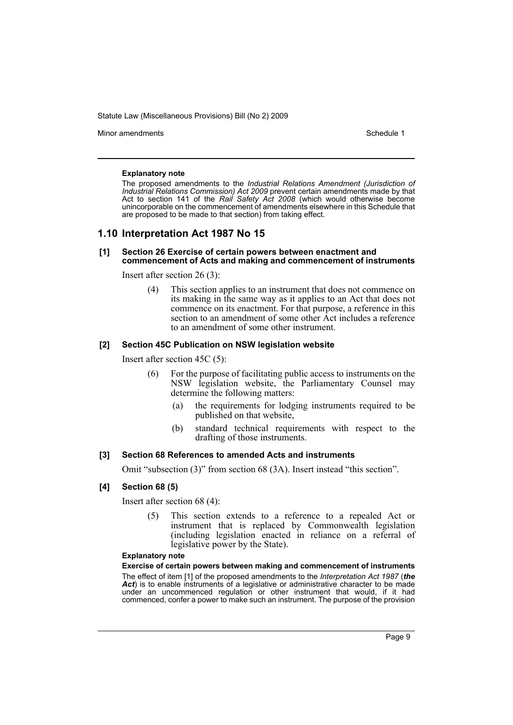Minor amendments **Schedule 1** and the state of the state 1 and the state of the Schedule 1

#### **Explanatory note**

The proposed amendments to the *Industrial Relations Amendment (Jurisdiction of Industrial Relations Commission) Act 2009* prevent certain amendments made by that Act to section 141 of the *Rail Safety Act 2008* (which would otherwise become unincorporable on the commencement of amendments elsewhere in this Schedule that are proposed to be made to that section) from taking effect.

### **1.10 Interpretation Act 1987 No 15**

#### **[1] Section 26 Exercise of certain powers between enactment and commencement of Acts and making and commencement of instruments**

Insert after section 26 (3):

(4) This section applies to an instrument that does not commence on its making in the same way as it applies to an Act that does not commence on its enactment. For that purpose, a reference in this section to an amendment of some other Act includes a reference to an amendment of some other instrument.

#### **[2] Section 45C Publication on NSW legislation website**

Insert after section 45C (5):

- For the purpose of facilitating public access to instruments on the NSW legislation website, the Parliamentary Counsel may determine the following matters:
	- (a) the requirements for lodging instruments required to be published on that website,
	- (b) standard technical requirements with respect to the drafting of those instruments.

#### **[3] Section 68 References to amended Acts and instruments**

Omit "subsection (3)" from section 68 (3A). Insert instead "this section".

#### **[4] Section 68 (5)**

Insert after section 68 (4):

(5) This section extends to a reference to a repealed Act or instrument that is replaced by Commonwealth legislation (including legislation enacted in reliance on a referral of legislative power by the State).

#### **Explanatory note**

**Exercise of certain powers between making and commencement of instruments** The effect of item [1] of the proposed amendments to the *Interpretation Act 1987* (*the* Act) is to enable instruments of a legislative or administrative character to be made under an uncommenced regulation or other instrument that would, if it had commenced, confer a power to make such an instrument. The purpose of the provision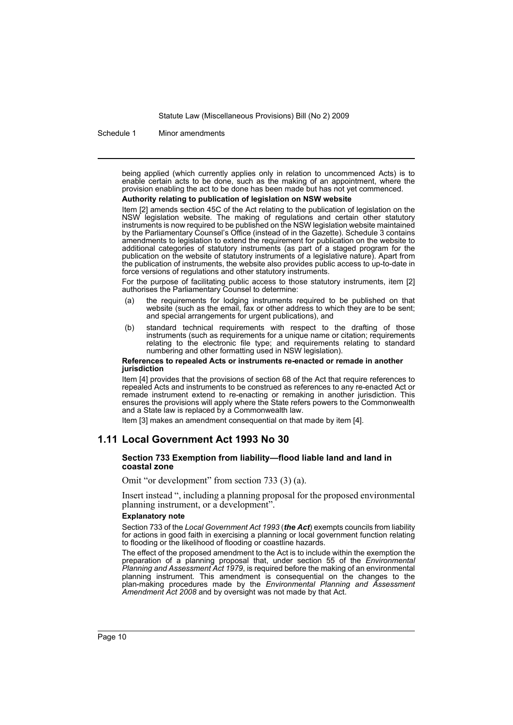Schedule 1 Minor amendments

being applied (which currently applies only in relation to uncommenced Acts) is to enable certain acts to be done, such as the making of an appointment, where the provision enabling the act to be done has been made but has not yet commenced.

#### **Authority relating to publication of legislation on NSW website**

Item [2] amends section 45C of the Act relating to the publication of legislation on the NSW legislation website. The making of regulations and certain other statutory instruments is now required to be published on the NSW legislation website maintained by the Parliamentary Counsel's Office (instead of in the Gazette). Schedule 3 contains amendments to legislation to extend the requirement for publication on the website to additional categories of statutory instruments (as part of a staged program for the publication on the website of statutory instruments of a legislative nature). Apart from the publication of instruments, the website also provides public access to up-to-date in force versions of regulations and other statutory instruments.

For the purpose of facilitating public access to those statutory instruments, item [2] authorises the Parliamentary Counsel to determine:

- (a) the requirements for lodging instruments required to be published on that website (such as the email, fax or other address to which they are to be sent; and special arrangements for urgent publications), and
- (b) standard technical requirements with respect to the drafting of those instruments (such as requirements for a unique name or citation; requirements relating to the electronic file type; and requirements relating to standard numbering and other formatting used in NSW legislation).

#### **References to repealed Acts or instruments re-enacted or remade in another jurisdiction**

Item [4] provides that the provisions of section 68 of the Act that require references to repealed Acts and instruments to be construed as references to any re-enacted Act or remade instrument extend to re-enacting or remaking in another jurisdiction. This ensures the provisions will apply where the State refers powers to the Commonwealth and a State law is replaced by a Commonwealth law.

Item [3] makes an amendment consequential on that made by item [4].

### **1.11 Local Government Act 1993 No 30**

#### **Section 733 Exemption from liability—flood liable land and land in coastal zone**

Omit "or development" from section 733 (3) (a).

Insert instead ", including a planning proposal for the proposed environmental planning instrument, or a development".

#### **Explanatory note**

Section 733 of the *Local Government Act 1993* (*the Act*) exempts councils from liability for actions in good faith in exercising a planning or local government function relating to flooding or the likelihood of flooding or coastline hazards.

The effect of the proposed amendment to the Act is to include within the exemption the preparation of a planning proposal that, under section 55 of the *Environmental Planning and Assessment Act 1979*, is required before the making of an environmental planning instrument. This amendment is consequential on the changes to the plan-making procedures made by the *Environmental Planning and Assessment Amendment Act 2008* and by oversight was not made by that Act.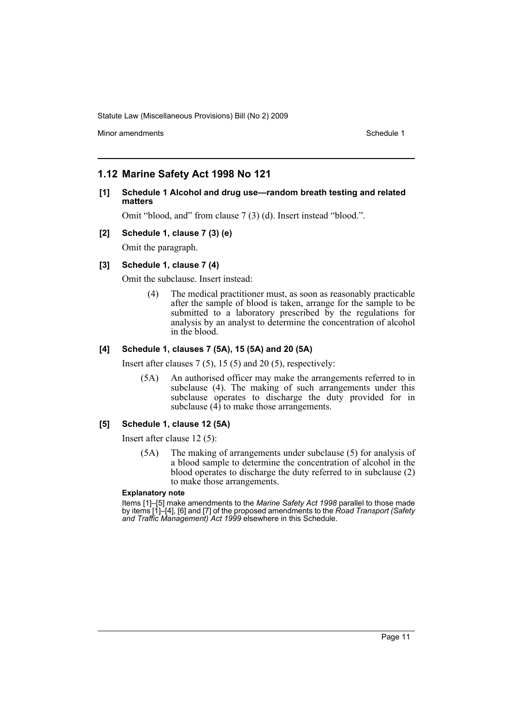Minor amendments **Schedule 1** and the state of the state 1 and the state of the Schedule 1

### **1.12 Marine Safety Act 1998 No 121**

**[1] Schedule 1 Alcohol and drug use—random breath testing and related matters**

Omit "blood, and" from clause 7 (3) (d). Insert instead "blood.".

#### **[2] Schedule 1, clause 7 (3) (e)**

Omit the paragraph.

#### **[3] Schedule 1, clause 7 (4)**

Omit the subclause. Insert instead:

(4) The medical practitioner must, as soon as reasonably practicable after the sample of blood is taken, arrange for the sample to be submitted to a laboratory prescribed by the regulations for analysis by an analyst to determine the concentration of alcohol in the blood.

#### **[4] Schedule 1, clauses 7 (5A), 15 (5A) and 20 (5A)**

Insert after clauses  $7(5)$ ,  $15(5)$  and  $20(5)$ , respectively:

(5A) An authorised officer may make the arrangements referred to in subclause (4). The making of such arrangements under this subclause operates to discharge the duty provided for in subclause  $(4)$  to make those arrangements.

#### **[5] Schedule 1, clause 12 (5A)**

Insert after clause 12 (5):

(5A) The making of arrangements under subclause (5) for analysis of a blood sample to determine the concentration of alcohol in the blood operates to discharge the duty referred to in subclause (2) to make those arrangements.

#### **Explanatory note**

Items [1]–[5] make amendments to the *Marine Safety Act 1998* parallel to those made by items [1]–[4], [6] and [7] of the proposed amendments to the *Road Transport (Safety and Traffic Management) Act 1999* elsewhere in this Schedule.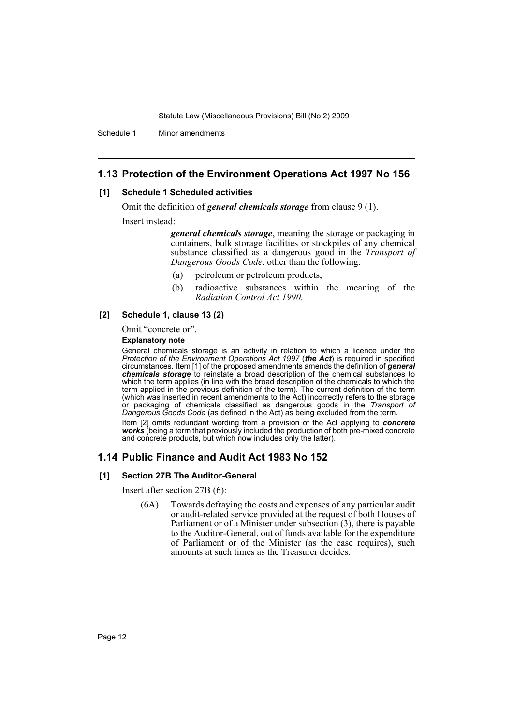Schedule 1 Minor amendments

### **1.13 Protection of the Environment Operations Act 1997 No 156**

#### **[1] Schedule 1 Scheduled activities**

Omit the definition of *general chemicals storage* from clause 9 (1).

Insert instead:

*general chemicals storage*, meaning the storage or packaging in containers, bulk storage facilities or stockpiles of any chemical substance classified as a dangerous good in the *Transport of Dangerous Goods Code*, other than the following:

- (a) petroleum or petroleum products,
- (b) radioactive substances within the meaning of the *Radiation Control Act 1990*.

#### **[2] Schedule 1, clause 13 (2)**

Omit "concrete or".

#### **Explanatory note**

General chemicals storage is an activity in relation to which a licence under the *Protection of the Environment Operations Act 1997* (*the Act*) is required in specified circumstances. Item [1] of the proposed amendments amends the definition of *general chemicals storage* to reinstate a broad description of the chemical substances to which the term applies (in line with the broad description of the chemicals to which the term applied in the previous definition of the term). The current definition of the term (which was inserted in recent amendments to the Act) incorrectly refers to the storage or packaging of chemicals classified as dangerous goods in the *Transport of Dangerous Goods Code* (as defined in the Act) as being excluded from the term.

Item [2] omits redundant wording from a provision of the Act applying to *concrete works* (being a term that previously included the production of both pre-mixed concrete and concrete products, but which now includes only the latter).

### **1.14 Public Finance and Audit Act 1983 No 152**

#### **[1] Section 27B The Auditor-General**

Insert after section 27B (6):

(6A) Towards defraying the costs and expenses of any particular audit or audit-related service provided at the request of both Houses of Parliament or of a Minister under subsection (3), there is payable to the Auditor-General, out of funds available for the expenditure of Parliament or of the Minister (as the case requires), such amounts at such times as the Treasurer decides.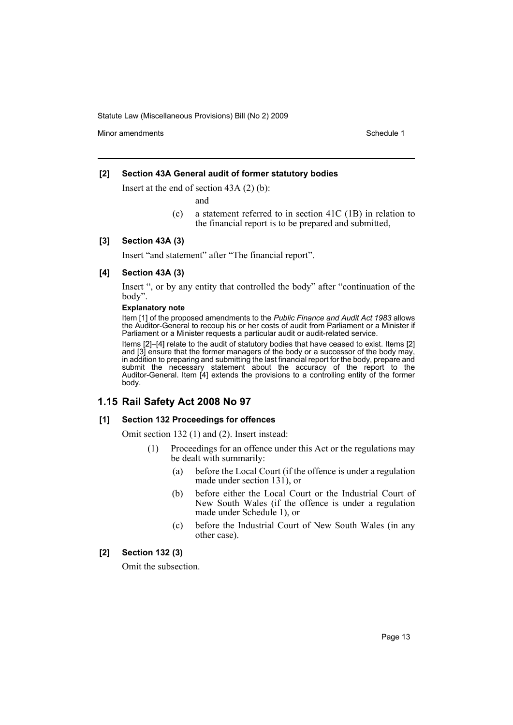Minor amendments **Schedule 1** and the state of the state 1 and the state of the Schedule 1

#### **[2] Section 43A General audit of former statutory bodies**

Insert at the end of section 43A (2) (b):

and

(c) a statement referred to in section 41C (1B) in relation to the financial report is to be prepared and submitted,

#### **[3] Section 43A (3)**

Insert "and statement" after "The financial report".

#### **[4] Section 43A (3)**

Insert ", or by any entity that controlled the body" after "continuation of the body".

#### **Explanatory note**

Item [1] of the proposed amendments to the *Public Finance and Audit Act 1983* allows the Auditor-General to recoup his or her costs of audit from Parliament or a Minister if Parliament or a Minister requests a particular audit or audit-related service.

Items [2]–[4] relate to the audit of statutory bodies that have ceased to exist. Items [2] and [3] ensure that the former managers of the body or a successor of the body may, in addition to preparing and submitting the last financial report for the body, prepare and submit the necessary statement about the accuracy of the report to the Auditor-General. Item [4] extends the provisions to a controlling entity of the former body.

## **1.15 Rail Safety Act 2008 No 97**

### **[1] Section 132 Proceedings for offences**

Omit section 132 (1) and (2). Insert instead:

- (1) Proceedings for an offence under this Act or the regulations may be dealt with summarily:
	- (a) before the Local Court (if the offence is under a regulation made under section 131), or
	- (b) before either the Local Court or the Industrial Court of New South Wales (if the offence is under a regulation made under Schedule 1), or
	- (c) before the Industrial Court of New South Wales (in any other case).

## **[2] Section 132 (3)**

Omit the subsection.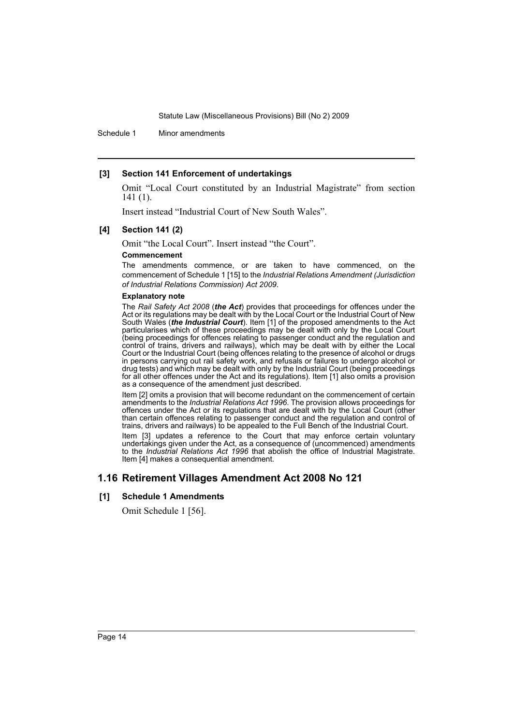Schedule 1 Minor amendments

#### **[3] Section 141 Enforcement of undertakings**

Omit "Local Court constituted by an Industrial Magistrate" from section 141 (1).

Insert instead "Industrial Court of New South Wales".

#### **[4] Section 141 (2)**

Omit "the Local Court". Insert instead "the Court".

#### **Commencement**

The amendments commence, or are taken to have commenced, on the commencement of Schedule 1 [15] to the *Industrial Relations Amendment (Jurisdiction of Industrial Relations Commission) Act 2009*.

#### **Explanatory note**

The *Rail Safety Act 2008* (*the Act*) provides that proceedings for offences under the Act or its regulations may be dealt with by the Local Court or the Industrial Court of New South Wales (*the Industrial Court*). Item [1] of the proposed amendments to the Act particularises which of these proceedings may be dealt with only by the Local Court (being proceedings for offences relating to passenger conduct and the regulation and control of trains, drivers and railways), which may be dealt with by either the Local Court or the Industrial Court (being offences relating to the presence of alcohol or drugs in persons carrying out rail safety work, and refusals or failures to undergo alcohol or drug tests) and which may be dealt with only by the Industrial Court (being proceedings for all other offences under the Act and its regulations). Item [1] also omits a provision as a consequence of the amendment just described.

Item [2] omits a provision that will become redundant on the commencement of certain amendments to the *Industrial Relations Act 1996*. The provision allows proceedings for offences under the Act or its regulations that are dealt with by the Local Court (other than certain offences relating to passenger conduct and the regulation and control of trains, drivers and railways) to be appealed to the Full Bench of the Industrial Court.

Item [3] updates a reference to the Court that may enforce certain voluntary undertakings given under the Act, as a consequence of (uncommenced) amendments to the *Industrial Relations Act 1996* that abolish the office of Industrial Magistrate. Item [4] makes a consequential amendment.

### **1.16 Retirement Villages Amendment Act 2008 No 121**

#### **[1] Schedule 1 Amendments**

Omit Schedule 1 [56].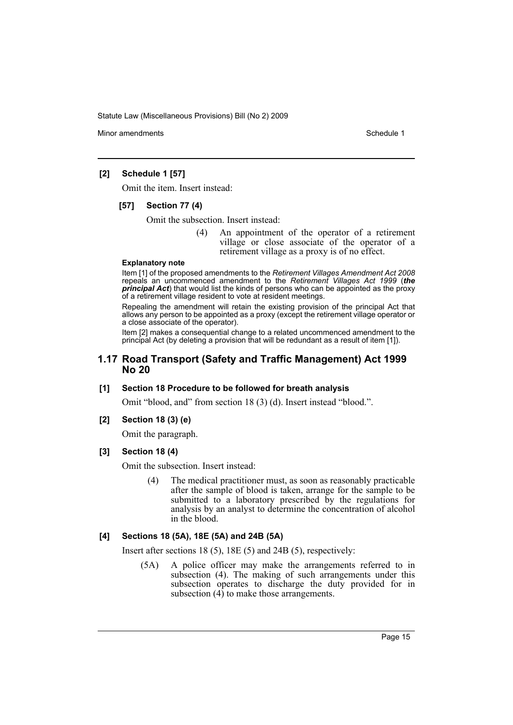Minor amendments **Schedule 1** and the state of the state 1 and the state of the Schedule 1

### **[2] Schedule 1 [57]**

Omit the item. Insert instead:

**[57] Section 77 (4)**

Omit the subsection. Insert instead:

(4) An appointment of the operator of a retirement village or close associate of the operator of a retirement village as a proxy is of no effect.

#### **Explanatory note**

Item [1] of the proposed amendments to the *Retirement Villages Amendment Act 2008* repeals an uncommenced amendment to the *Retirement Villages Act 1999* (*the principal Act*) that would list the kinds of persons who can be appointed as the proxy of a retirement village resident to vote at resident meetings.

Repealing the amendment will retain the existing provision of the principal Act that allows any person to be appointed as a proxy (except the retirement village operator or a close associate of the operator).

Item [2] makes a consequential change to a related uncommenced amendment to the principal Act (by deleting a provision that will be redundant as a result of item [1]).

### **1.17 Road Transport (Safety and Traffic Management) Act 1999 No 20**

#### **[1] Section 18 Procedure to be followed for breath analysis**

Omit "blood, and" from section 18 (3) (d). Insert instead "blood.".

**[2] Section 18 (3) (e)**

Omit the paragraph.

### **[3] Section 18 (4)**

Omit the subsection. Insert instead:

(4) The medical practitioner must, as soon as reasonably practicable after the sample of blood is taken, arrange for the sample to be submitted to a laboratory prescribed by the regulations for analysis by an analyst to determine the concentration of alcohol in the blood.

### **[4] Sections 18 (5A), 18E (5A) and 24B (5A)**

Insert after sections 18 (5), 18E (5) and 24B (5), respectively:

(5A) A police officer may make the arrangements referred to in subsection (4). The making of such arrangements under this subsection operates to discharge the duty provided for in subsection  $(4)$  to make those arrangements.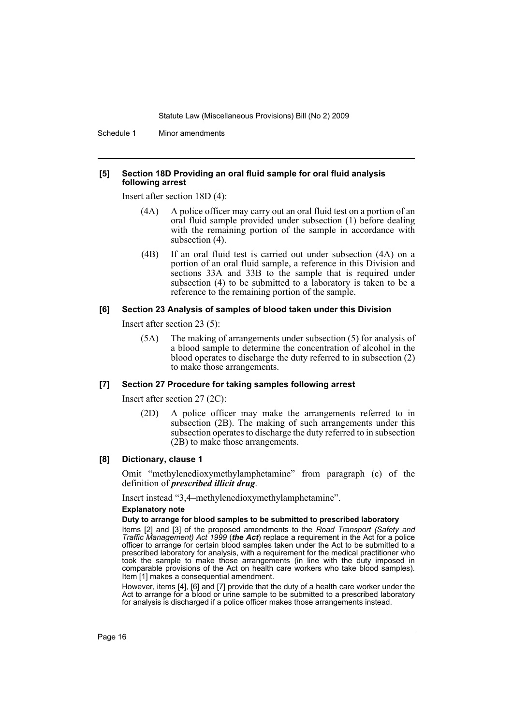Schedule 1 Minor amendments

#### **[5] Section 18D Providing an oral fluid sample for oral fluid analysis following arrest**

Insert after section 18D (4):

- (4A) A police officer may carry out an oral fluid test on a portion of an oral fluid sample provided under subsection (1) before dealing with the remaining portion of the sample in accordance with subsection  $(4)$ .
- (4B) If an oral fluid test is carried out under subsection (4A) on a portion of an oral fluid sample, a reference in this Division and sections 33A and 33B to the sample that is required under subsection (4) to be submitted to a laboratory is taken to be a reference to the remaining portion of the sample.

#### **[6] Section 23 Analysis of samples of blood taken under this Division**

Insert after section 23 (5):

(5A) The making of arrangements under subsection (5) for analysis of a blood sample to determine the concentration of alcohol in the blood operates to discharge the duty referred to in subsection (2) to make those arrangements.

#### **[7] Section 27 Procedure for taking samples following arrest**

Insert after section 27 (2C):

(2D) A police officer may make the arrangements referred to in subsection (2B). The making of such arrangements under this subsection operates to discharge the duty referred to in subsection (2B) to make those arrangements.

#### **[8] Dictionary, clause 1**

Omit "methylenedioxymethylamphetamine" from paragraph (c) of the definition of *prescribed illicit drug*.

Insert instead "3,4–methylenedioxymethylamphetamine".

#### **Explanatory note**

#### **Duty to arrange for blood samples to be submitted to prescribed laboratory**

Items [2] and [3] of the proposed amendments to the *Road Transport (Safety and Traffic Management) Act 1999* (*the Act*) replace a requirement in the Act for a police officer to arrange for certain blood samples taken under the Act to be submitted to a prescribed laboratory for analysis, with a requirement for the medical practitioner who took the sample to make those arrangements (in line with the duty imposed in comparable provisions of the Act on health care workers who take blood samples). Item [1] makes a consequential amendment.

However, items [4], [6] and [7] provide that the duty of a health care worker under the Act to arrange for a blood or urine sample to be submitted to a prescribed laboratory for analysis is discharged if a police officer makes those arrangements instead.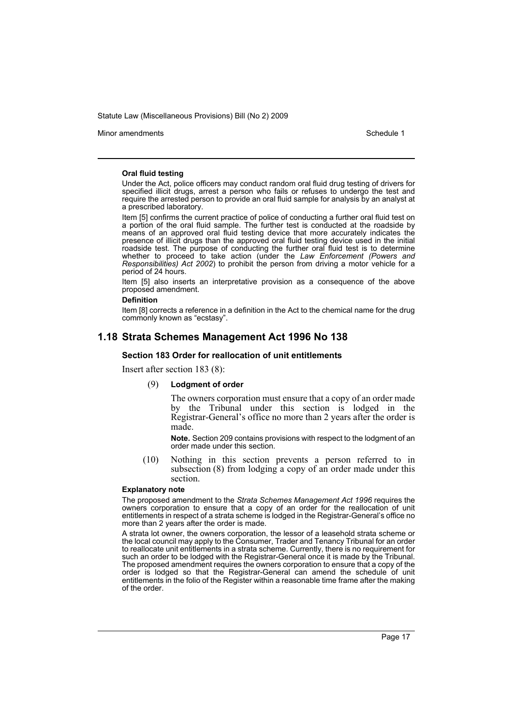Minor amendments **Schedule 1** and the state of the state 1 and the state of the Schedule 1

#### **Oral fluid testing**

Under the Act, police officers may conduct random oral fluid drug testing of drivers for specified illicit drugs, arrest a person who fails or refuses to undergo the test and require the arrested person to provide an oral fluid sample for analysis by an analyst at a prescribed laboratory.

Item [5] confirms the current practice of police of conducting a further oral fluid test on a portion of the oral fluid sample. The further test is conducted at the roadside by means of an approved oral fluid testing device that more accurately indicates the presence of illicit drugs than the approved oral fluid testing device used in the initial roadside test. The purpose of conducting the further oral fluid test is to determine whether to proceed to take action (under the *Law Enforcement (Powers and Responsibilities) Act 2002*) to prohibit the person from driving a motor vehicle for a period of 24 hours.

Item [5] also inserts an interpretative provision as a consequence of the above proposed amendment.

#### **Definition**

Item [8] corrects a reference in a definition in the Act to the chemical name for the drug commonly known as "ecstasy".

### **1.18 Strata Schemes Management Act 1996 No 138**

#### **Section 183 Order for reallocation of unit entitlements**

Insert after section 183 (8):

#### (9) **Lodgment of order**

The owners corporation must ensure that a copy of an order made by the Tribunal under this section is lodged in the Registrar-General's office no more than 2 years after the order is made.

**Note.** Section 209 contains provisions with respect to the lodgment of an order made under this section.

(10) Nothing in this section prevents a person referred to in subsection (8) from lodging a copy of an order made under this section.

#### **Explanatory note**

The proposed amendment to the *Strata Schemes Management Act 1996* requires the owners corporation to ensure that a copy of an order for the reallocation of unit entitlements in respect of a strata scheme is lodged in the Registrar-General's office no more than 2 years after the order is made.

A strata lot owner, the owners corporation, the lessor of a leasehold strata scheme or the local council may apply to the Consumer, Trader and Tenancy Tribunal for an order to reallocate unit entitlements in a strata scheme. Currently, there is no requirement for such an order to be lodged with the Registrar-General once it is made by the Tribunal. The proposed amendment requires the owners corporation to ensure that a copy of the order is lodged so that the Registrar-General can amend the schedule of unit entitlements in the folio of the Register within a reasonable time frame after the making of the order.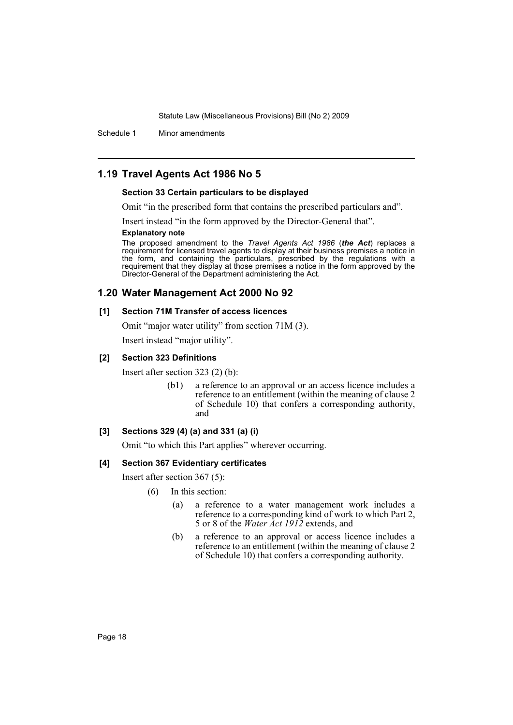Schedule 1 Minor amendments

## **1.19 Travel Agents Act 1986 No 5**

#### **Section 33 Certain particulars to be displayed**

Omit "in the prescribed form that contains the prescribed particulars and".

Insert instead "in the form approved by the Director-General that".

#### **Explanatory note**

The proposed amendment to the *Travel Agents Act 1986* (*the Act*) replaces a requirement for licensed travel agents to display at their business premises a notice in the form, and containing the particulars, prescribed by the regulations with a requirement that they display at those premises a notice in the form approved by the Director-General of the Department administering the Act.

## **1.20 Water Management Act 2000 No 92**

#### **[1] Section 71M Transfer of access licences**

Omit "major water utility" from section 71M (3).

Insert instead "major utility".

#### **[2] Section 323 Definitions**

Insert after section 323 (2) (b):

(b1) a reference to an approval or an access licence includes a reference to an entitlement (within the meaning of clause 2 of Schedule 10) that confers a corresponding authority, and

### **[3] Sections 329 (4) (a) and 331 (a) (i)**

Omit "to which this Part applies" wherever occurring.

#### **[4] Section 367 Evidentiary certificates**

Insert after section 367 (5):

- (6) In this section:
	- (a) a reference to a water management work includes a reference to a corresponding kind of work to which Part 2, 5 or 8 of the *Water Act 1912* extends, and
	- (b) a reference to an approval or access licence includes a reference to an entitlement (within the meaning of clause 2 of Schedule 10) that confers a corresponding authority.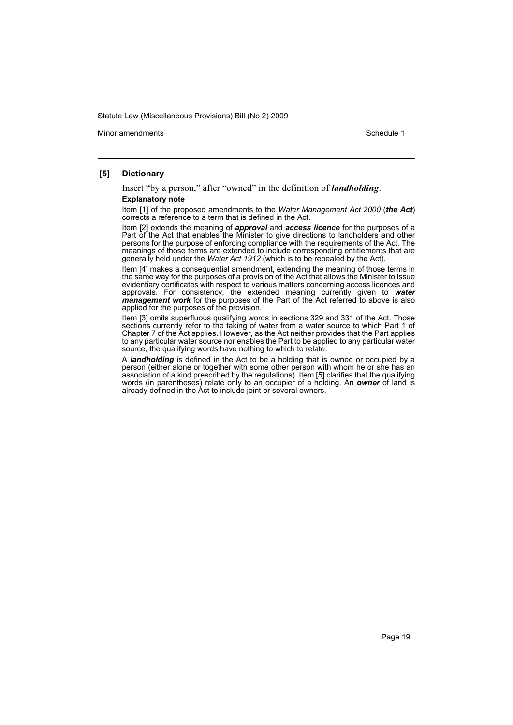Minor amendments **Schedule 1** and the state of the state 1 and the state of the Schedule 1

#### **[5] Dictionary**

Insert "by a person," after "owned" in the definition of *landholding*.

#### **Explanatory note**

Item [1] of the proposed amendments to the *Water Management Act 2000* (*the Act*) corrects a reference to a term that is defined in the Act.

Item [2] extends the meaning of *approval* and *access licence* for the purposes of a Part of the Act that enables the Minister to give directions to landholders and other persons for the purpose of enforcing compliance with the requirements of the Act. The meanings of those terms are extended to include corresponding entitlements that are generally held under the *Water Act 1912* (which is to be repealed by the Act).

Item [4] makes a consequential amendment, extending the meaning of those terms in the same way for the purposes of a provision of the Act that allows the Minister to issue evidentiary certificates with respect to various matters concerning access licences and approvals. For consistency, the extended meaning currently given to *water management work* for the purposes of the Part of the Act referred to above is also applied for the purposes of the provision.

Item [3] omits superfluous qualifying words in sections 329 and 331 of the Act. Those sections currently refer to the taking of water from a water source to which Part 1 of Chapter 7 of the Act applies. However, as the Act neither provides that the Part applies to any particular water source nor enables the Part to be applied to any particular water source, the qualifying words have nothing to which to relate.

A *landholding* is defined in the Act to be a holding that is owned or occupied by a person (either alone or together with some other person with whom he or she has an association of a kind prescribed by the regulations). Item [5] clarifies that the qualifying words (in parentheses) relate only to an occupier of a holding. An *owner* of land is already defined in the Act to include joint or several owners.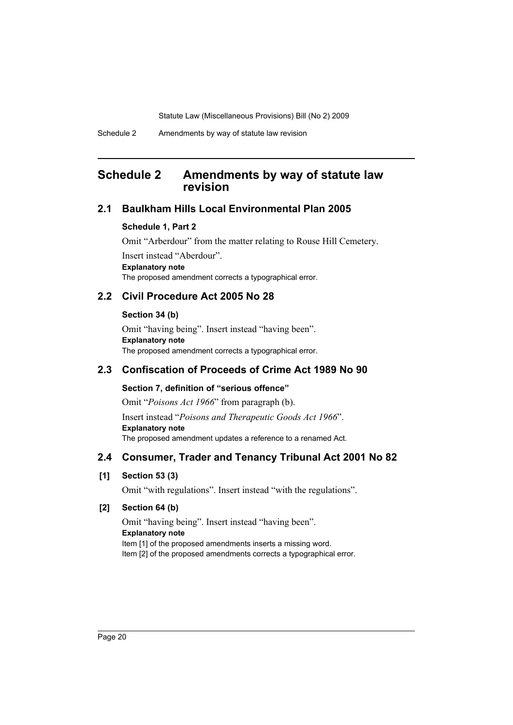## <span id="page-21-0"></span>**Schedule 2 Amendments by way of statute law revision**

## **2.1 Baulkham Hills Local Environmental Plan 2005**

#### **Schedule 1, Part 2**

Omit "Arberdour" from the matter relating to Rouse Hill Cemetery. Insert instead "Aberdour". **Explanatory note** The proposed amendment corrects a typographical error.

## **2.2 Civil Procedure Act 2005 No 28**

#### **Section 34 (b)**

Omit "having being". Insert instead "having been". **Explanatory note** The proposed amendment corrects a typographical error.

## **2.3 Confiscation of Proceeds of Crime Act 1989 No 90**

### **Section 7, definition of "serious offence"**

Omit "*Poisons Act 1966*" from paragraph (b). Insert instead "*Poisons and Therapeutic Goods Act 1966*". **Explanatory note** The proposed amendment updates a reference to a renamed Act.

## **2.4 Consumer, Trader and Tenancy Tribunal Act 2001 No 82**

### **[1] Section 53 (3)**

Omit "with regulations". Insert instead "with the regulations".

### **[2] Section 64 (b)**

Omit "having being". Insert instead "having been". **Explanatory note** Item [1] of the proposed amendments inserts a missing word. Item [2] of the proposed amendments corrects a typographical error.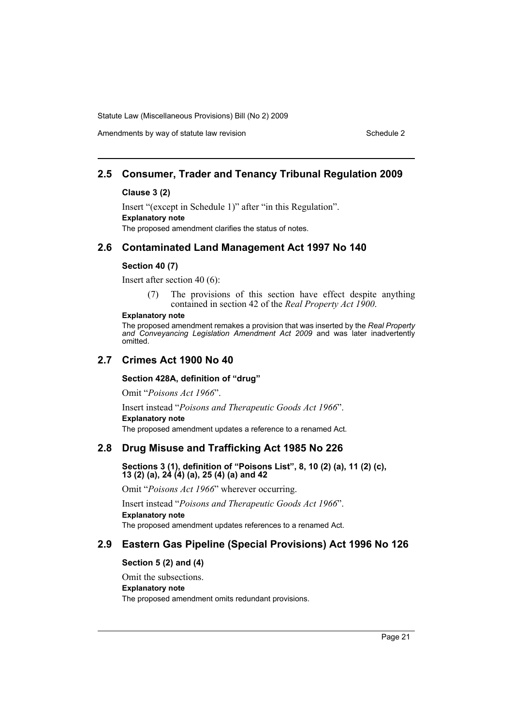## **2.5 Consumer, Trader and Tenancy Tribunal Regulation 2009**

#### **Clause 3 (2)**

Insert "(except in Schedule 1)" after "in this Regulation". **Explanatory note** The proposed amendment clarifies the status of notes.

### **2.6 Contaminated Land Management Act 1997 No 140**

#### **Section 40 (7)**

Insert after section 40 (6):

(7) The provisions of this section have effect despite anything contained in section 42 of the *Real Property Act 1900*.

#### **Explanatory note**

The proposed amendment remakes a provision that was inserted by the *Real Property and Conveyancing Legislation Amendment Act 2009* and was later inadvertently omitted.

### **2.7 Crimes Act 1900 No 40**

#### **Section 428A, definition of "drug"**

Omit "*Poisons Act 1966*".

Insert instead "*Poisons and Therapeutic Goods Act 1966*". **Explanatory note** The proposed amendment updates a reference to a renamed Act.

### **2.8 Drug Misuse and Trafficking Act 1985 No 226**

**Sections 3 (1), definition of "Poisons List", 8, 10 (2) (a), 11 (2) (c), 13 (2) (a), 24 (4) (a), 25 (4) (a) and 42**

Omit "*Poisons Act 1966*" wherever occurring.

Insert instead "*Poisons and Therapeutic Goods Act 1966*". **Explanatory note** The proposed amendment updates references to a renamed Act.

### **2.9 Eastern Gas Pipeline (Special Provisions) Act 1996 No 126**

#### **Section 5 (2) and (4)**

Omit the subsections. **Explanatory note** The proposed amendment omits redundant provisions.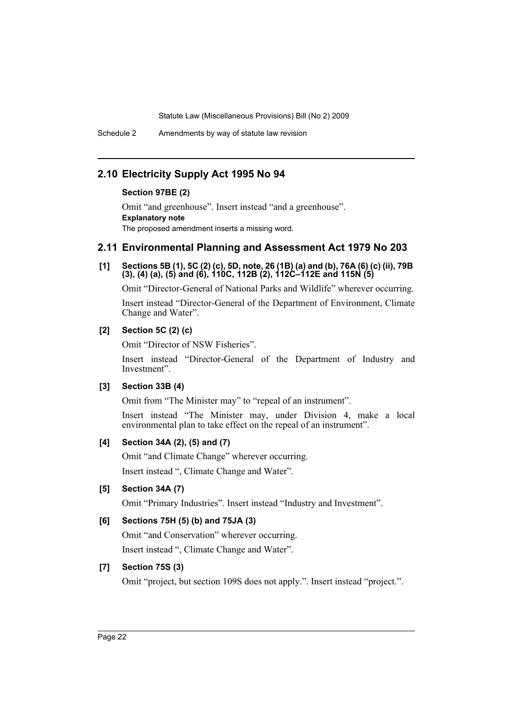Schedule 2 Amendments by way of statute law revision

## **2.10 Electricity Supply Act 1995 No 94**

## **Section 97BE (2)**

Omit "and greenhouse". Insert instead "and a greenhouse". **Explanatory note** The proposed amendment inserts a missing word.

## **2.11 Environmental Planning and Assessment Act 1979 No 203**

**[1] Sections 5B (1), 5C (2) (c), 5D, note, 26 (1B) (a) and (b), 76A (6) (c) (ii), 79B (3), (4) (a), (5) and (6), 110C, 112B (2), 112C–112E and 115N (5)**

Omit "Director-General of National Parks and Wildlife" wherever occurring.

Insert instead "Director-General of the Department of Environment, Climate Change and Water".

## **[2] Section 5C (2) (c)**

Omit "Director of NSW Fisheries".

Insert instead "Director-General of the Department of Industry and Investment".

## **[3] Section 33B (4)**

Omit from "The Minister may" to "repeal of an instrument".

Insert instead "The Minister may, under Division 4, make a local environmental plan to take effect on the repeal of an instrument".

## **[4] Section 34A (2), (5) and (7)**

Omit "and Climate Change" wherever occurring.

Insert instead ", Climate Change and Water".

## **[5] Section 34A (7)**

Omit "Primary Industries". Insert instead "Industry and Investment".

## **[6] Sections 75H (5) (b) and 75JA (3)**

Omit "and Conservation" wherever occurring. Insert instead ", Climate Change and Water".

## **[7] Section 75S (3)**

Omit "project, but section 109S does not apply.". Insert instead "project.".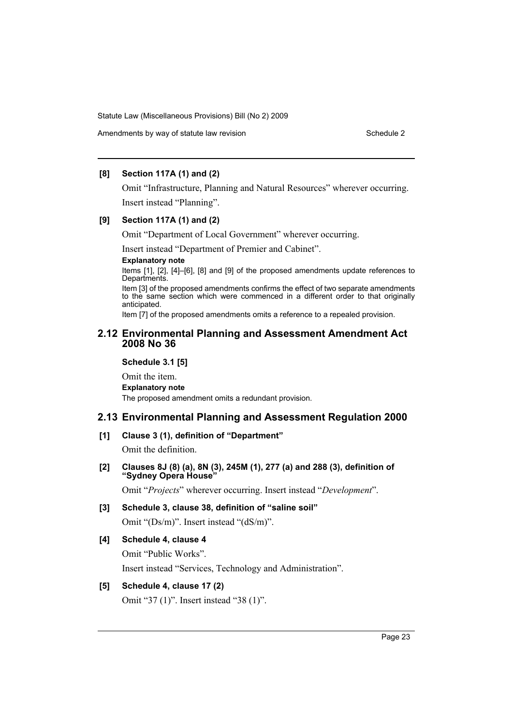Amendments by way of statute law revision Schedule 2 Schedule 2

### **[8] Section 117A (1) and (2)**

Omit "Infrastructure, Planning and Natural Resources" wherever occurring. Insert instead "Planning".

## **[9] Section 117A (1) and (2)**

Omit "Department of Local Government" wherever occurring.

Insert instead "Department of Premier and Cabinet".

**Explanatory note**

Items [1], [2], [4]–[6], [8] and [9] of the proposed amendments update references to Departments.

Item [3] of the proposed amendments confirms the effect of two separate amendments to the same section which were commenced in a different order to that originally anticipated.

Item [7] of the proposed amendments omits a reference to a repealed provision.

## **2.12 Environmental Planning and Assessment Amendment Act 2008 No 36**

**Schedule 3.1 [5]**

Omit the item. **Explanatory note** The proposed amendment omits a redundant provision.

## **2.13 Environmental Planning and Assessment Regulation 2000**

**[1] Clause 3 (1), definition of "Department"** Omit the definition.

**[2] Clauses 8J (8) (a), 8N (3), 245M (1), 277 (a) and 288 (3), definition of "Sydney Opera House"**

Omit "*Projects*" wherever occurring. Insert instead "*Development*".

- **[3] Schedule 3, clause 38, definition of "saline soil"** Omit "(Ds/m)". Insert instead "(dS/m)".
- **[4] Schedule 4, clause 4**

Omit "Public Works". Insert instead "Services, Technology and Administration".

## **[5] Schedule 4, clause 17 (2)**

Omit "37 (1)". Insert instead "38 (1)".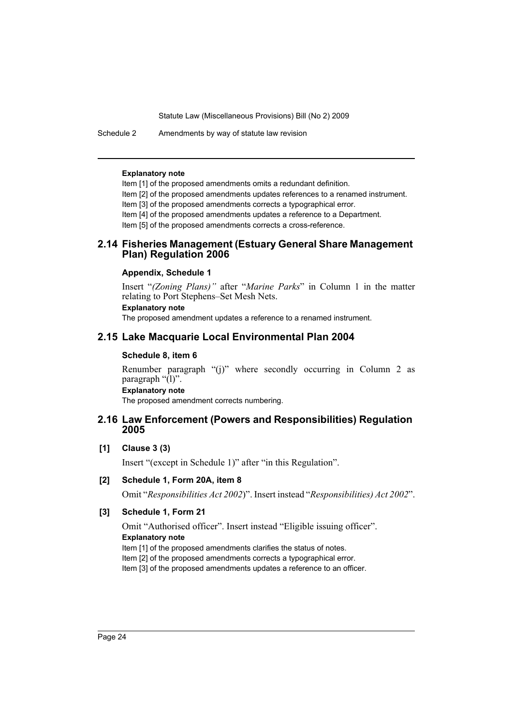Schedule 2 Amendments by way of statute law revision

#### **Explanatory note**

Item [1] of the proposed amendments omits a redundant definition.

Item [2] of the proposed amendments updates references to a renamed instrument.

Item [3] of the proposed amendments corrects a typographical error.

Item [4] of the proposed amendments updates a reference to a Department.

Item [5] of the proposed amendments corrects a cross-reference.

### **2.14 Fisheries Management (Estuary General Share Management Plan) Regulation 2006**

#### **Appendix, Schedule 1**

Insert "*(Zoning Plans)"* after "*Marine Parks*" in Column 1 in the matter relating to Port Stephens–Set Mesh Nets.

## **Explanatory note**

The proposed amendment updates a reference to a renamed instrument.

## **2.15 Lake Macquarie Local Environmental Plan 2004**

#### **Schedule 8, item 6**

Renumber paragraph "(j)" where secondly occurring in Column 2 as paragraph "(l)". **Explanatory note**

The proposed amendment corrects numbering.

## **2.16 Law Enforcement (Powers and Responsibilities) Regulation 2005**

**[1] Clause 3 (3)**

Insert "(except in Schedule 1)" after "in this Regulation".

#### **[2] Schedule 1, Form 20A, item 8**

Omit "*Responsibilities Act 2002*)". Insert instead "*Responsibilities) Act 2002*".

### **[3] Schedule 1, Form 21**

Omit "Authorised officer". Insert instead "Eligible issuing officer". **Explanatory note**

Item [1] of the proposed amendments clarifies the status of notes.

Item [2] of the proposed amendments corrects a typographical error. Item [3] of the proposed amendments updates a reference to an officer.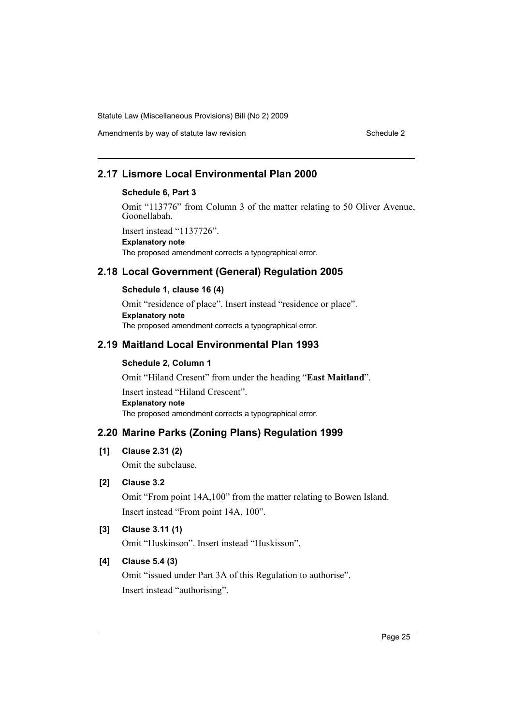## Amendments by way of statute law revision Schedule 2 Schedule 2

## **2.17 Lismore Local Environmental Plan 2000**

#### **Schedule 6, Part 3**

Omit "113776" from Column 3 of the matter relating to 50 Oliver Avenue, Goonellabah.

Insert instead "1137726". **Explanatory note** The proposed amendment corrects a typographical error.

## **2.18 Local Government (General) Regulation 2005**

### **Schedule 1, clause 16 (4)**

Omit "residence of place". Insert instead "residence or place". **Explanatory note** The proposed amendment corrects a typographical error.

## **2.19 Maitland Local Environmental Plan 1993**

## **Schedule 2, Column 1**

Omit "Hiland Cresent" from under the heading "**East Maitland**".

Insert instead "Hiland Crescent". **Explanatory note** The proposed amendment corrects a typographical error.

## **2.20 Marine Parks (Zoning Plans) Regulation 1999**

**[1] Clause 2.31 (2)**

Omit the subclause.

## **[2] Clause 3.2**

Omit "From point 14A,100" from the matter relating to Bowen Island. Insert instead "From point 14A, 100".

## **[3] Clause 3.11 (1)**

Omit "Huskinson". Insert instead "Huskisson".

## **[4] Clause 5.4 (3)**

Omit "issued under Part 3A of this Regulation to authorise". Insert instead "authorising".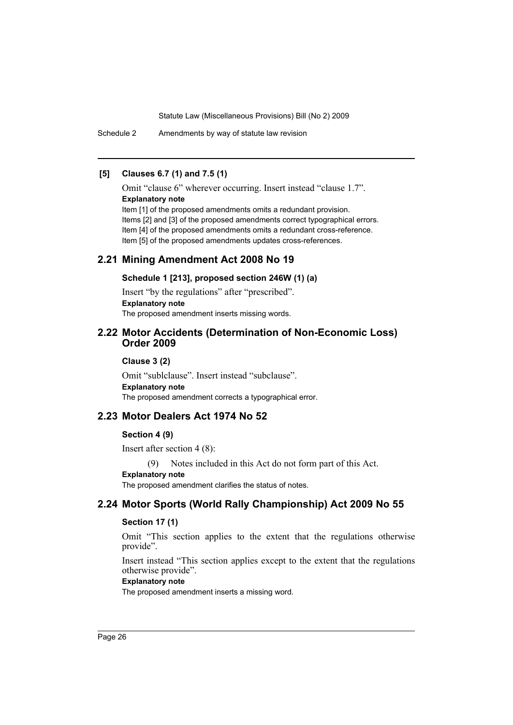Schedule 2 Amendments by way of statute law revision

## **[5] Clauses 6.7 (1) and 7.5 (1)**

Omit "clause 6" wherever occurring. Insert instead "clause 1.7". **Explanatory note** Item [1] of the proposed amendments omits a redundant provision. Items [2] and [3] of the proposed amendments correct typographical errors. Item [4] of the proposed amendments omits a redundant cross-reference.

Item [5] of the proposed amendments updates cross-references.

## **2.21 Mining Amendment Act 2008 No 19**

### **Schedule 1 [213], proposed section 246W (1) (a)**

Insert "by the regulations" after "prescribed". **Explanatory note** The proposed amendment inserts missing words.

### **2.22 Motor Accidents (Determination of Non-Economic Loss) Order 2009**

#### **Clause 3 (2)**

Omit "sublclause". Insert instead "subclause". **Explanatory note** The proposed amendment corrects a typographical error.

### **2.23 Motor Dealers Act 1974 No 52**

#### **Section 4 (9)**

Insert after section 4 (8):

(9) Notes included in this Act do not form part of this Act.

### **Explanatory note**

The proposed amendment clarifies the status of notes.

## **2.24 Motor Sports (World Rally Championship) Act 2009 No 55**

### **Section 17 (1)**

Omit "This section applies to the extent that the regulations otherwise provide".

Insert instead "This section applies except to the extent that the regulations otherwise provide".

### **Explanatory note**

The proposed amendment inserts a missing word.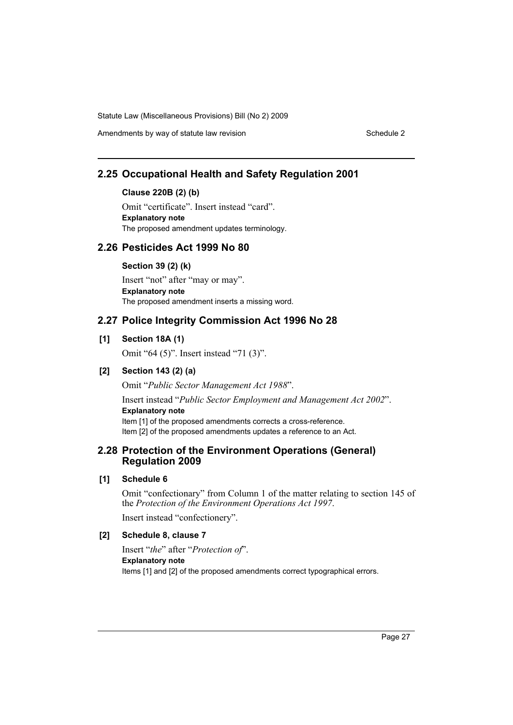Amendments by way of statute law revision Schedule 2 Schedule 2

## **2.25 Occupational Health and Safety Regulation 2001**

### **Clause 220B (2) (b)**

Omit "certificate". Insert instead "card". **Explanatory note** The proposed amendment updates terminology.

## **2.26 Pesticides Act 1999 No 80**

#### **Section 39 (2) (k)**

Insert "not" after "may or may". **Explanatory note** The proposed amendment inserts a missing word.

## **2.27 Police Integrity Commission Act 1996 No 28**

### **[1] Section 18A (1)**

Omit "64 (5)". Insert instead "71 (3)".

#### **[2] Section 143 (2) (a)**

Omit "*Public Sector Management Act 1988*".

Insert instead "*Public Sector Employment and Management Act 2002*". **Explanatory note** Item [1] of the proposed amendments corrects a cross-reference. Item [2] of the proposed amendments updates a reference to an Act.

## **2.28 Protection of the Environment Operations (General) Regulation 2009**

#### **[1] Schedule 6**

Omit "confectionary" from Column 1 of the matter relating to section 145 of the *Protection of the Environment Operations Act 1997*.

Insert instead "confectionery".

## **[2] Schedule 8, clause 7**

Insert "*the*" after "*Protection of*". **Explanatory note** Items [1] and [2] of the proposed amendments correct typographical errors.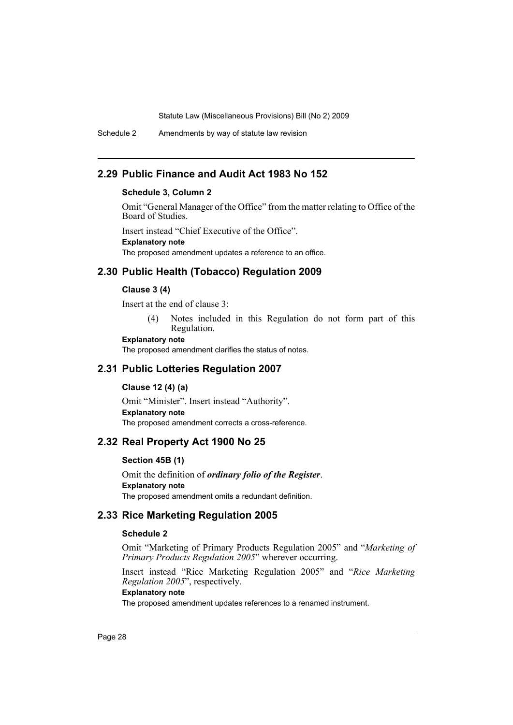Schedule 2 Amendments by way of statute law revision

## **2.29 Public Finance and Audit Act 1983 No 152**

#### **Schedule 3, Column 2**

Omit "General Manager of the Office" from the matter relating to Office of the Board of Studies.

Insert instead "Chief Executive of the Office". **Explanatory note** The proposed amendment updates a reference to an office.

### **2.30 Public Health (Tobacco) Regulation 2009**

#### **Clause 3 (4)**

Insert at the end of clause 3:

(4) Notes included in this Regulation do not form part of this Regulation.

#### **Explanatory note**

The proposed amendment clarifies the status of notes.

### **2.31 Public Lotteries Regulation 2007**

### **Clause 12 (4) (a)**

Omit "Minister". Insert instead "Authority". **Explanatory note** The proposed amendment corrects a cross-reference.

### **2.32 Real Property Act 1900 No 25**

#### **Section 45B (1)**

Omit the definition of *ordinary folio of the Register*. **Explanatory note** The proposed amendment omits a redundant definition.

### **2.33 Rice Marketing Regulation 2005**

#### **Schedule 2**

Omit "Marketing of Primary Products Regulation 2005" and "*Marketing of Primary Products Regulation 2005*" wherever occurring.

Insert instead "Rice Marketing Regulation 2005" and "*Rice Marketing Regulation 2005*", respectively.

#### **Explanatory note**

The proposed amendment updates references to a renamed instrument.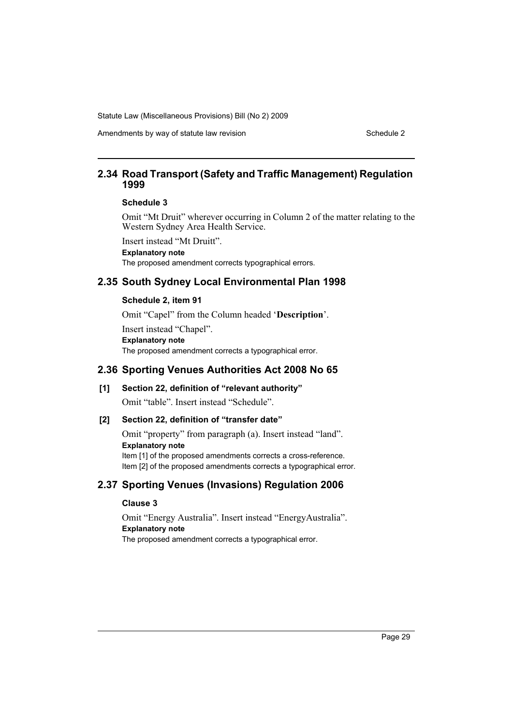## **2.34 Road Transport (Safety and Traffic Management) Regulation 1999**

#### **Schedule 3**

Omit "Mt Druit" wherever occurring in Column 2 of the matter relating to the Western Sydney Area Health Service.

Insert instead "Mt Druitt". **Explanatory note** The proposed amendment corrects typographical errors.

## **2.35 South Sydney Local Environmental Plan 1998**

### **Schedule 2, item 91**

Omit "Capel" from the Column headed '**Description**'.

Insert instead "Chapel". **Explanatory note** The proposed amendment corrects a typographical error.

### **2.36 Sporting Venues Authorities Act 2008 No 65**

## **[1] Section 22, definition of "relevant authority"** Omit "table". Insert instead "Schedule".

#### **[2] Section 22, definition of "transfer date"**

Omit "property" from paragraph (a). Insert instead "land". **Explanatory note** Item [1] of the proposed amendments corrects a cross-reference. Item [2] of the proposed amendments corrects a typographical error.

## **2.37 Sporting Venues (Invasions) Regulation 2006**

#### **Clause 3**

Omit "Energy Australia". Insert instead "EnergyAustralia". **Explanatory note** The proposed amendment corrects a typographical error.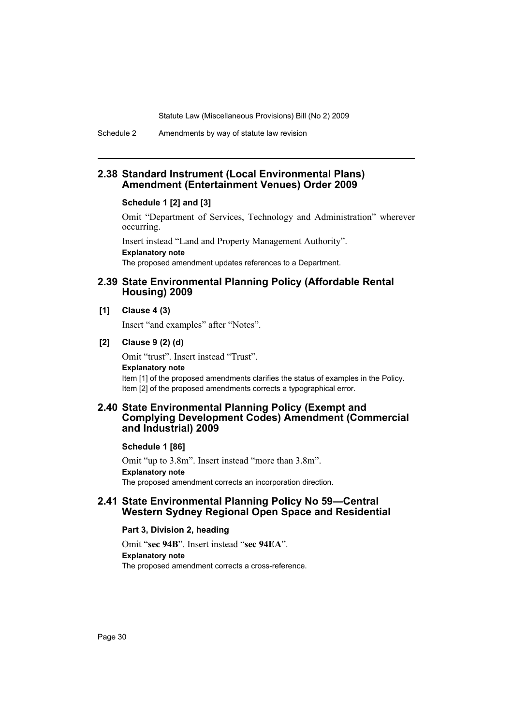Schedule 2 Amendments by way of statute law revision

## **2.38 Standard Instrument (Local Environmental Plans) Amendment (Entertainment Venues) Order 2009**

#### **Schedule 1 [2] and [3]**

Omit "Department of Services, Technology and Administration" wherever occurring.

Insert instead "Land and Property Management Authority". **Explanatory note**

The proposed amendment updates references to a Department.

## **2.39 State Environmental Planning Policy (Affordable Rental Housing) 2009**

### **[1] Clause 4 (3)**

Insert "and examples" after "Notes".

#### **[2] Clause 9 (2) (d)**

Omit "trust". Insert instead "Trust". **Explanatory note** Item [1] of the proposed amendments clarifies the status of examples in the Policy. Item [2] of the proposed amendments corrects a typographical error.

### **2.40 State Environmental Planning Policy (Exempt and Complying Development Codes) Amendment (Commercial and Industrial) 2009**

**Schedule 1 [86]**

Omit "up to 3.8m". Insert instead "more than 3.8m". **Explanatory note** The proposed amendment corrects an incorporation direction.

## **2.41 State Environmental Planning Policy No 59—Central Western Sydney Regional Open Space and Residential**

#### **Part 3, Division 2, heading**

Omit "**sec 94B**". Insert instead "**sec 94EA**". **Explanatory note** The proposed amendment corrects a cross-reference.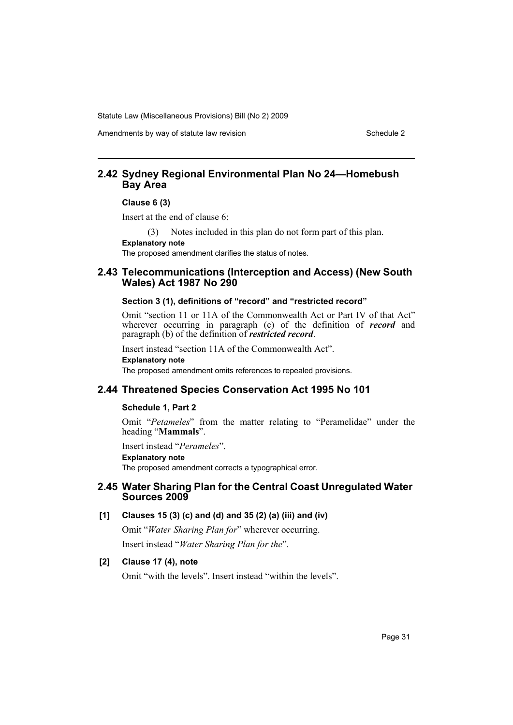Amendments by way of statute law revision Schedule 2 Schedule 2

## **2.42 Sydney Regional Environmental Plan No 24—Homebush Bay Area**

### **Clause 6 (3)**

Insert at the end of clause 6:

(3) Notes included in this plan do not form part of this plan.

#### **Explanatory note**

The proposed amendment clarifies the status of notes.

### **2.43 Telecommunications (Interception and Access) (New South Wales) Act 1987 No 290**

#### **Section 3 (1), definitions of "record" and "restricted record"**

Omit "section 11 or 11A of the Commonwealth Act or Part IV of that Act" wherever occurring in paragraph (c) of the definition of *record* and paragraph (b) of the definition of *restricted record*.

Insert instead "section 11A of the Commonwealth Act".

#### **Explanatory note**

The proposed amendment omits references to repealed provisions.

## **2.44 Threatened Species Conservation Act 1995 No 101**

#### **Schedule 1, Part 2**

Omit "*Petameles*" from the matter relating to "Peramelidae" under the heading "**Mammals**".

Insert instead "*Perameles*". **Explanatory note** The proposed amendment corrects a typographical error.

## **2.45 Water Sharing Plan for the Central Coast Unregulated Water Sources 2009**

## **[1] Clauses 15 (3) (c) and (d) and 35 (2) (a) (iii) and (iv)**

Omit "*Water Sharing Plan for*" wherever occurring. Insert instead "*Water Sharing Plan for the*".

## **[2] Clause 17 (4), note**

Omit "with the levels". Insert instead "within the levels".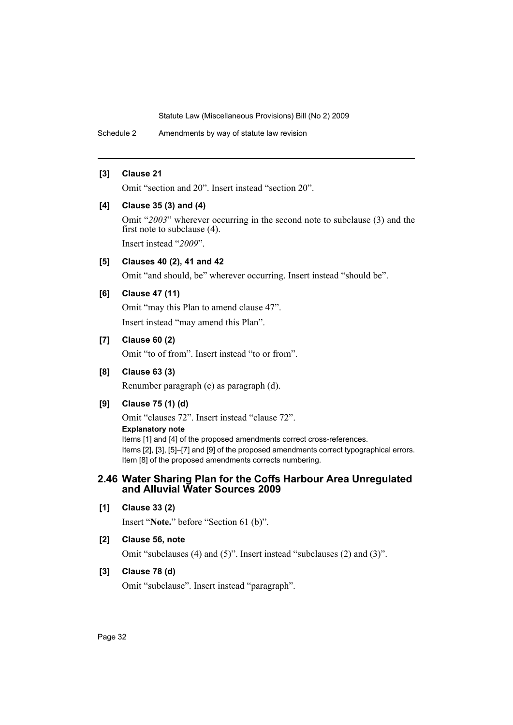Schedule 2 Amendments by way of statute law revision

### **[3] Clause 21**

Omit "section and 20". Insert instead "section 20".

### **[4] Clause 35 (3) and (4)**

Omit "*2003*" wherever occurring in the second note to subclause (3) and the first note to subclause (4).

Insert instead "*2009*".

## **[5] Clauses 40 (2), 41 and 42**

Omit "and should, be" wherever occurring. Insert instead "should be".

### **[6] Clause 47 (11)**

Omit "may this Plan to amend clause 47".

Insert instead "may amend this Plan".

### **[7] Clause 60 (2)**

Omit "to of from". Insert instead "to or from".

## **[8] Clause 63 (3)**

Renumber paragraph (e) as paragraph (d).

## **[9] Clause 75 (1) (d)**

Omit "clauses 72". Insert instead "clause 72". **Explanatory note** Items [1] and [4] of the proposed amendments correct cross-references. Items [2], [3], [5]–[7] and [9] of the proposed amendments correct typographical errors. Item [8] of the proposed amendments corrects numbering.

## **2.46 Water Sharing Plan for the Coffs Harbour Area Unregulated and Alluvial Water Sources 2009**

**[1] Clause 33 (2)**

Insert "**Note.**" before "Section 61 (b)".

**[2] Clause 56, note**

Omit "subclauses (4) and (5)". Insert instead "subclauses (2) and (3)".

## **[3] Clause 78 (d)**

Omit "subclause". Insert instead "paragraph".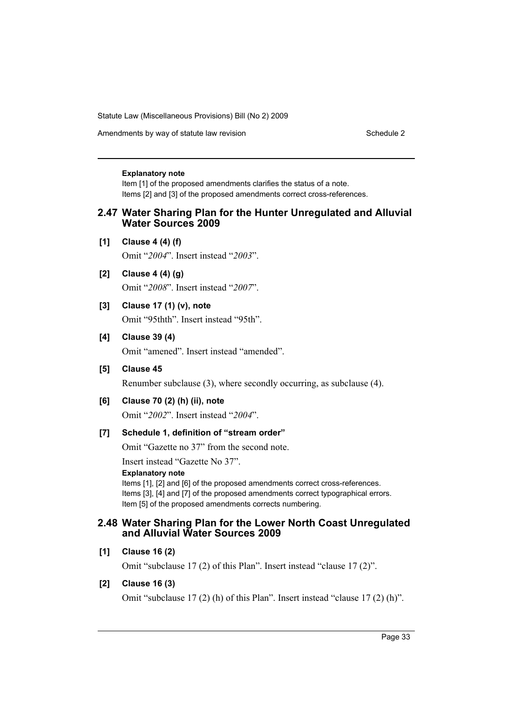Amendments by way of statute law revision Schedule 2 Schedule 2

#### **Explanatory note**

Item [1] of the proposed amendments clarifies the status of a note. Items [2] and [3] of the proposed amendments correct cross-references.

### **2.47 Water Sharing Plan for the Hunter Unregulated and Alluvial Water Sources 2009**

**[1] Clause 4 (4) (f)**

Omit "*2004*". Insert instead "*2003*".

**[2] Clause 4 (4) (g)**

Omit "*2008*". Insert instead "*2007*".

**[3] Clause 17 (1) (v), note** Omit "95thth". Insert instead "95th".

## **[4] Clause 39 (4)**

Omit "amened". Insert instead "amended".

### **[5] Clause 45**

Renumber subclause (3), where secondly occurring, as subclause (4).

#### **[6] Clause 70 (2) (h) (ii), note**

Omit "*2002*". Insert instead "*2004*".

#### **[7] Schedule 1, definition of "stream order"**

Omit "Gazette no 37" from the second note.

Insert instead "Gazette No 37".

#### **Explanatory note**

Items [1], [2] and [6] of the proposed amendments correct cross-references. Items [3], [4] and [7] of the proposed amendments correct typographical errors. Item [5] of the proposed amendments corrects numbering.

## **2.48 Water Sharing Plan for the Lower North Coast Unregulated and Alluvial Water Sources 2009**

### **[1] Clause 16 (2)**

Omit "subclause 17 (2) of this Plan". Insert instead "clause 17 (2)".

#### **[2] Clause 16 (3)**

Omit "subclause 17 (2) (h) of this Plan". Insert instead "clause 17 (2) (h)".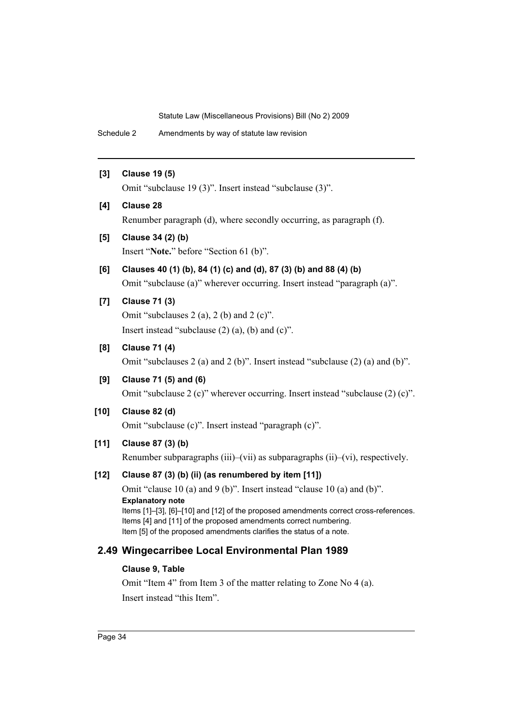Schedule 2 Amendments by way of statute law revision

### **[3] Clause 19 (5)**

Omit "subclause 19 (3)". Insert instead "subclause (3)".

**[4] Clause 28**

Renumber paragraph (d), where secondly occurring, as paragraph (f).

**[5] Clause 34 (2) (b)**

Insert "**Note.**" before "Section 61 (b)".

**[6] Clauses 40 (1) (b), 84 (1) (c) and (d), 87 (3) (b) and 88 (4) (b)** Omit "subclause (a)" wherever occurring. Insert instead "paragraph (a)".

### **[7] Clause 71 (3)**

Omit "subclauses  $2(a)$ ,  $2(b)$  and  $2(c)$ ". Insert instead "subclause  $(2)$   $(a)$ ,  $(b)$  and  $(c)$ ".

### **[8] Clause 71 (4)**

Omit "subclauses 2 (a) and 2 (b)". Insert instead "subclause (2) (a) and (b)".

### **[9] Clause 71 (5) and (6)**

Omit "subclause 2 (c)" wherever occurring. Insert instead "subclause (2) (c)".

## **[10] Clause 82 (d)**

Omit "subclause (c)". Insert instead "paragraph (c)".

## **[11] Clause 87 (3) (b)**

Renumber subparagraphs (iii)–(vii) as subparagraphs (ii)–(vi), respectively.

## **[12] Clause 87 (3) (b) (ii) (as renumbered by item [11])**

Omit "clause 10 (a) and 9 (b)". Insert instead "clause 10 (a) and (b)". **Explanatory note** Items [1]–[3], [6]–[10] and [12] of the proposed amendments correct cross-references. Items [4] and [11] of the proposed amendments correct numbering. Item [5] of the proposed amendments clarifies the status of a note.

## **2.49 Wingecarribee Local Environmental Plan 1989**

### **Clause 9, Table**

Omit "Item 4" from Item 3 of the matter relating to Zone No 4 (a). Insert instead "this Item".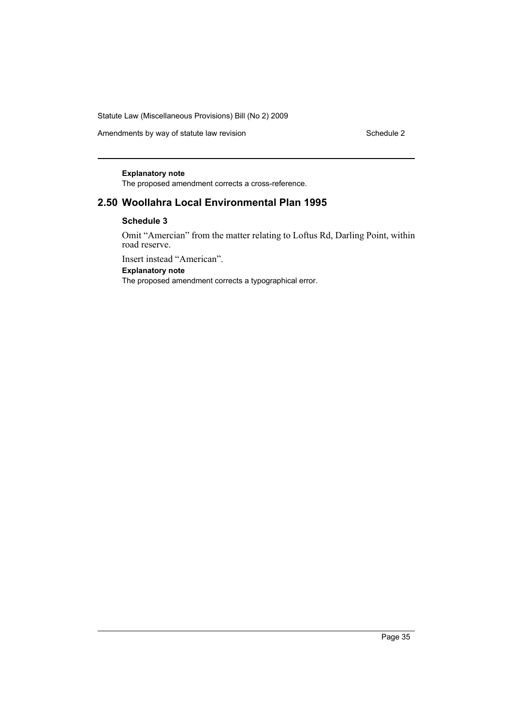Amendments by way of statute law revision example 2 Schedule 2

#### **Explanatory note**

The proposed amendment corrects a cross-reference.

## **2.50 Woollahra Local Environmental Plan 1995**

#### **Schedule 3**

Omit "Amercian" from the matter relating to Loftus Rd, Darling Point, within road reserve.

Insert instead "American". **Explanatory note** The proposed amendment corrects a typographical error.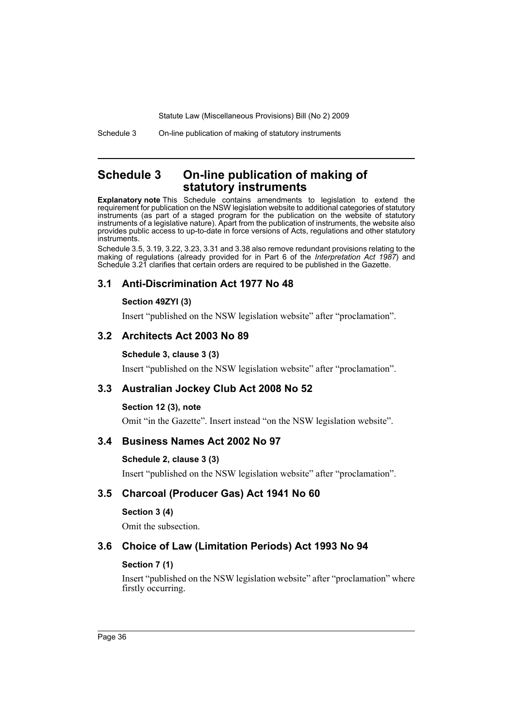Schedule 3 On-line publication of making of statutory instruments

## <span id="page-37-0"></span>**Schedule 3 On-line publication of making of statutory instruments**

**Explanatory note** This Schedule contains amendments to legislation to extend the requirement for publication on the NSW legislation website to additional categories of statutory instruments (as part of a staged program for the publication on the website of statutory instruments of a legislative nature). Apart from the publication of instruments, the website also provides public access to up-to-date in force versions of Acts, regulations and other statutory instruments.

Schedule 3.5, 3.19, 3.22, 3.23, 3.31 and 3.38 also remove redundant provisions relating to the making of regulations (already provided for in Part 6 of the *Interpretation Act 1987*) and Schedule 3.21 clarifies that certain orders are required to be published in the Gazette.

## **3.1 Anti-Discrimination Act 1977 No 48**

### **Section 49ZYI (3)**

Insert "published on the NSW legislation website" after "proclamation".

## **3.2 Architects Act 2003 No 89**

### **Schedule 3, clause 3 (3)**

Insert "published on the NSW legislation website" after "proclamation".

## **3.3 Australian Jockey Club Act 2008 No 52**

### **Section 12 (3), note**

Omit "in the Gazette". Insert instead "on the NSW legislation website".

## **3.4 Business Names Act 2002 No 97**

### **Schedule 2, clause 3 (3)**

Insert "published on the NSW legislation website" after "proclamation".

## **3.5 Charcoal (Producer Gas) Act 1941 No 60**

### **Section 3 (4)**

Omit the subsection.

## **3.6 Choice of Law (Limitation Periods) Act 1993 No 94**

### **Section 7 (1)**

Insert "published on the NSW legislation website" after "proclamation" where firstly occurring.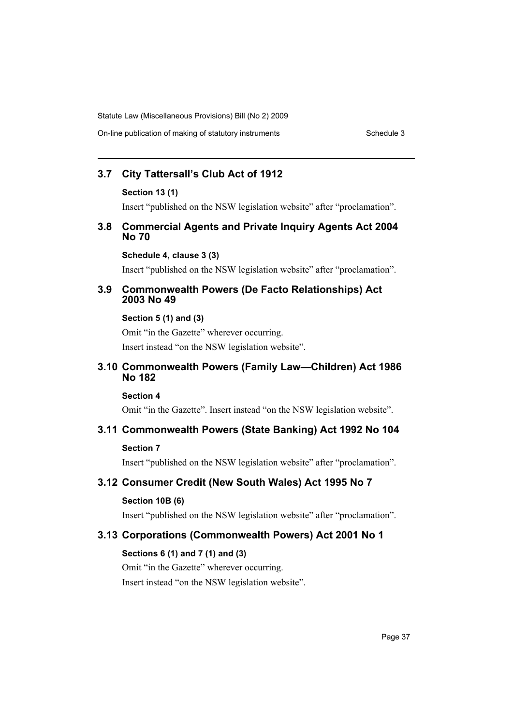On-line publication of making of statutory instruments Schedule 3

## **3.7 City Tattersall's Club Act of 1912**

## **Section 13 (1)**

Insert "published on the NSW legislation website" after "proclamation".

## **3.8 Commercial Agents and Private Inquiry Agents Act 2004 No 70**

#### **Schedule 4, clause 3 (3)**

Insert "published on the NSW legislation website" after "proclamation".

## **3.9 Commonwealth Powers (De Facto Relationships) Act 2003 No 49**

#### **Section 5 (1) and (3)**

Omit "in the Gazette" wherever occurring. Insert instead "on the NSW legislation website".

## **3.10 Commonwealth Powers (Family Law—Children) Act 1986 No 182**

#### **Section 4**

Omit "in the Gazette". Insert instead "on the NSW legislation website".

## **3.11 Commonwealth Powers (State Banking) Act 1992 No 104**

#### **Section 7**

Insert "published on the NSW legislation website" after "proclamation".

### **3.12 Consumer Credit (New South Wales) Act 1995 No 7**

#### **Section 10B (6)**

Insert "published on the NSW legislation website" after "proclamation".

## **3.13 Corporations (Commonwealth Powers) Act 2001 No 1**

## **Sections 6 (1) and 7 (1) and (3)**

Omit "in the Gazette" wherever occurring. Insert instead "on the NSW legislation website".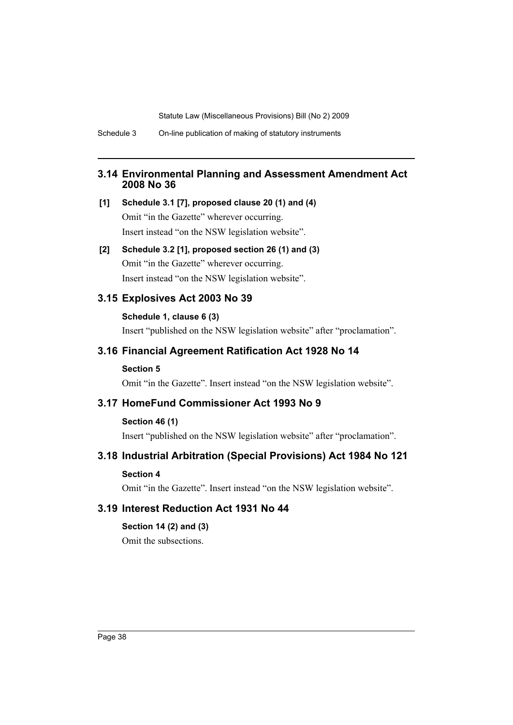Schedule 3 On-line publication of making of statutory instruments

## **3.14 Environmental Planning and Assessment Amendment Act 2008 No 36**

# **[1] Schedule 3.1 [7], proposed clause 20 (1) and (4)** Omit "in the Gazette" wherever occurring.

Insert instead "on the NSW legislation website".

## **[2] Schedule 3.2 [1], proposed section 26 (1) and (3)**

Omit "in the Gazette" wherever occurring. Insert instead "on the NSW legislation website".

## **3.15 Explosives Act 2003 No 39**

**Schedule 1, clause 6 (3)** Insert "published on the NSW legislation website" after "proclamation".

## **3.16 Financial Agreement Ratification Act 1928 No 14**

### **Section 5**

Omit "in the Gazette". Insert instead "on the NSW legislation website".

## **3.17 HomeFund Commissioner Act 1993 No 9**

## **Section 46 (1)**

Insert "published on the NSW legislation website" after "proclamation".

## **3.18 Industrial Arbitration (Special Provisions) Act 1984 No 121**

**Section 4**

Omit "in the Gazette". Insert instead "on the NSW legislation website".

## **3.19 Interest Reduction Act 1931 No 44**

## **Section 14 (2) and (3)**

Omit the subsections.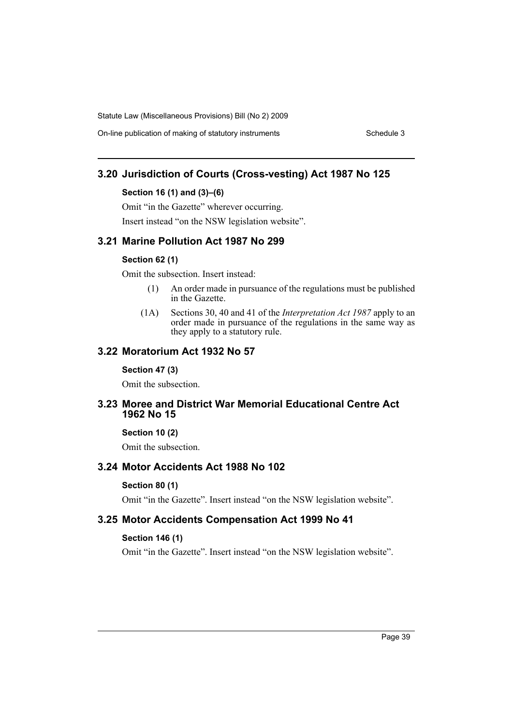## **3.20 Jurisdiction of Courts (Cross-vesting) Act 1987 No 125**

### **Section 16 (1) and (3)–(6)**

Omit "in the Gazette" wherever occurring.

Insert instead "on the NSW legislation website".

## **3.21 Marine Pollution Act 1987 No 299**

### **Section 62 (1)**

Omit the subsection. Insert instead:

- (1) An order made in pursuance of the regulations must be published in the Gazette.
- (1A) Sections 30, 40 and 41 of the *Interpretation Act 1987* apply to an order made in pursuance of the regulations in the same way as they apply to a statutory rule.

## **3.22 Moratorium Act 1932 No 57**

#### **Section 47 (3)**

Omit the subsection.

## **3.23 Moree and District War Memorial Educational Centre Act 1962 No 15**

#### **Section 10 (2)**

Omit the subsection.

## **3.24 Motor Accidents Act 1988 No 102**

### **Section 80 (1)**

Omit "in the Gazette". Insert instead "on the NSW legislation website".

### **3.25 Motor Accidents Compensation Act 1999 No 41**

### **Section 146 (1)**

Omit "in the Gazette". Insert instead "on the NSW legislation website".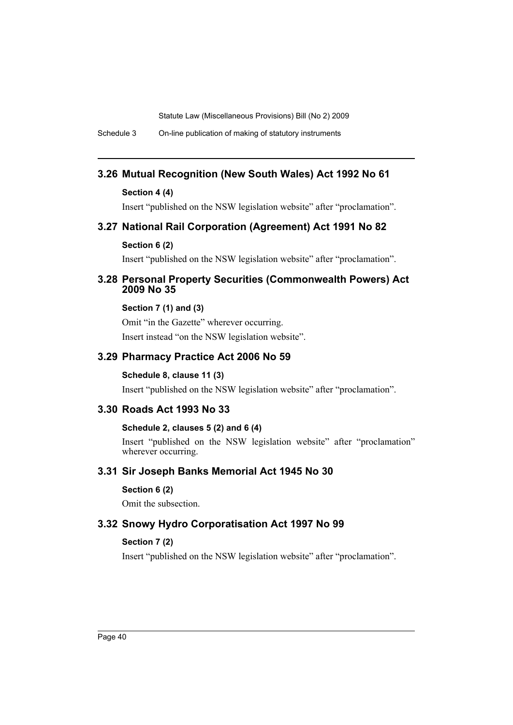Schedule 3 On-line publication of making of statutory instruments

## **3.26 Mutual Recognition (New South Wales) Act 1992 No 61**

## **Section 4 (4)**

Insert "published on the NSW legislation website" after "proclamation".

## **3.27 National Rail Corporation (Agreement) Act 1991 No 82**

## **Section 6 (2)**

Insert "published on the NSW legislation website" after "proclamation".

## **3.28 Personal Property Securities (Commonwealth Powers) Act 2009 No 35**

## **Section 7 (1) and (3)**

Omit "in the Gazette" wherever occurring. Insert instead "on the NSW legislation website".

## **3.29 Pharmacy Practice Act 2006 No 59**

## **Schedule 8, clause 11 (3)**

Insert "published on the NSW legislation website" after "proclamation".

## **3.30 Roads Act 1993 No 33**

### **Schedule 2, clauses 5 (2) and 6 (4)**

Insert "published on the NSW legislation website" after "proclamation" wherever occurring.

## **3.31 Sir Joseph Banks Memorial Act 1945 No 30**

### **Section 6 (2)**

Omit the subsection.

## **3.32 Snowy Hydro Corporatisation Act 1997 No 99**

### **Section 7 (2)**

Insert "published on the NSW legislation website" after "proclamation".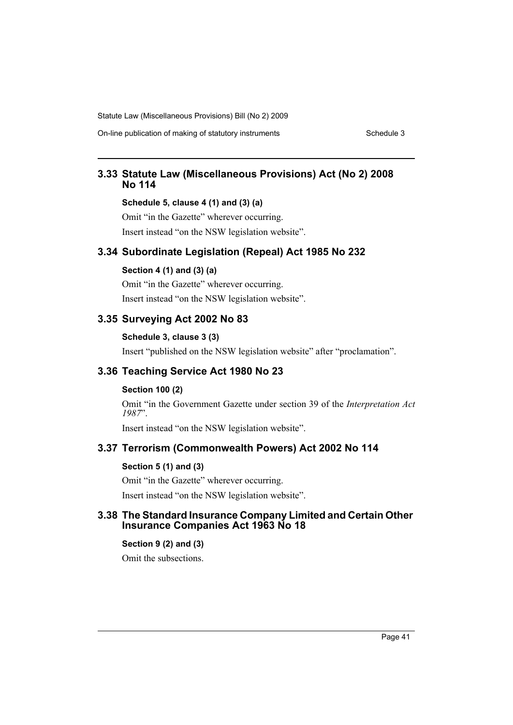On-line publication of making of statutory instruments Schedule 3

## **3.33 Statute Law (Miscellaneous Provisions) Act (No 2) 2008 No 114**

### **Schedule 5, clause 4 (1) and (3) (a)**

Omit "in the Gazette" wherever occurring. Insert instead "on the NSW legislation website".

### **3.34 Subordinate Legislation (Repeal) Act 1985 No 232**

### **Section 4 (1) and (3) (a)**

Omit "in the Gazette" wherever occurring. Insert instead "on the NSW legislation website".

## **3.35 Surveying Act 2002 No 83**

### **Schedule 3, clause 3 (3)**

Insert "published on the NSW legislation website" after "proclamation".

## **3.36 Teaching Service Act 1980 No 23**

#### **Section 100 (2)**

Omit "in the Government Gazette under section 39 of the *Interpretation Act 1987*".

Insert instead "on the NSW legislation website".

## **3.37 Terrorism (Commonwealth Powers) Act 2002 No 114**

## **Section 5 (1) and (3)**

Omit "in the Gazette" wherever occurring.

Insert instead "on the NSW legislation website".

## **3.38 The Standard Insurance Company Limited and Certain Other Insurance Companies Act 1963 No 18**

## **Section 9 (2) and (3)**

Omit the subsections.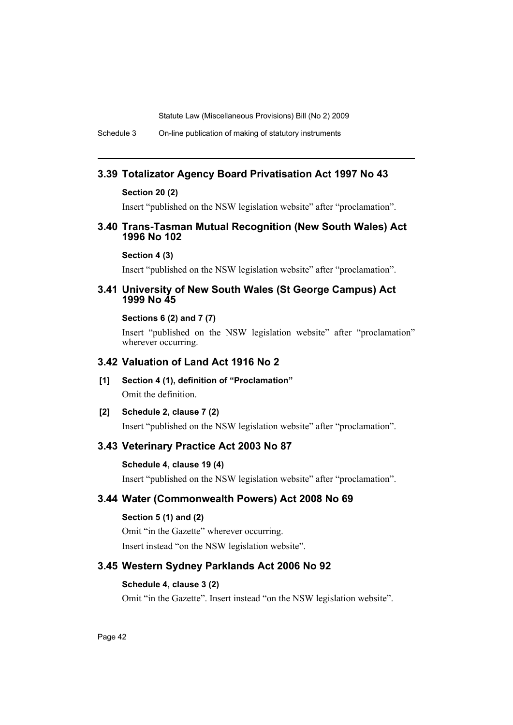Schedule 3 On-line publication of making of statutory instruments

## **3.39 Totalizator Agency Board Privatisation Act 1997 No 43**

#### **Section 20 (2)**

Insert "published on the NSW legislation website" after "proclamation".

## **3.40 Trans-Tasman Mutual Recognition (New South Wales) Act 1996 No 102**

#### **Section 4 (3)**

Insert "published on the NSW legislation website" after "proclamation".

## **3.41 University of New South Wales (St George Campus) Act 1999 No 45**

#### **Sections 6 (2) and 7 (7)**

Insert "published on the NSW legislation website" after "proclamation" wherever occurring.

## **3.42 Valuation of Land Act 1916 No 2**

- **[1] Section 4 (1), definition of "Proclamation"** Omit the definition.
- **[2] Schedule 2, clause 7 (2)**

Insert "published on the NSW legislation website" after "proclamation".

## **3.43 Veterinary Practice Act 2003 No 87**

### **Schedule 4, clause 19 (4)**

Insert "published on the NSW legislation website" after "proclamation".

## **3.44 Water (Commonwealth Powers) Act 2008 No 69**

### **Section 5 (1) and (2)**

Omit "in the Gazette" wherever occurring. Insert instead "on the NSW legislation website".

## **3.45 Western Sydney Parklands Act 2006 No 92**

### **Schedule 4, clause 3 (2)**

Omit "in the Gazette". Insert instead "on the NSW legislation website".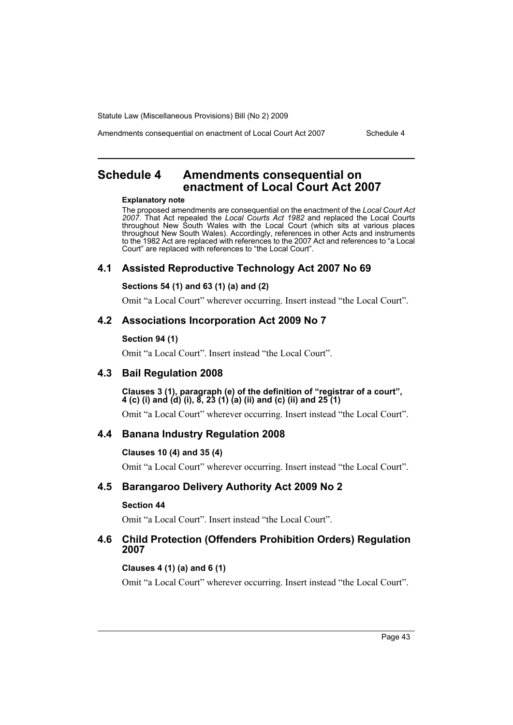Amendments consequential on enactment of Local Court Act 2007 Schedule 4

## <span id="page-44-0"></span>**Schedule 4 Amendments consequential on enactment of Local Court Act 2007**

#### **Explanatory note**

The proposed amendments are consequential on the enactment of the *Local Court Act 2007*. That Act repealed the *Local Courts Act 1982* and replaced the Local Courts throughout New South Wales with the Local Court (which sits at various places throughout New South Wales). Accordingly, references in other Acts and instruments to the 1982 Act are replaced with references to the 2007 Act and references to "a Local Court" are replaced with references to "the Local Court".

## **4.1 Assisted Reproductive Technology Act 2007 No 69**

## **Sections 54 (1) and 63 (1) (a) and (2)**

Omit "a Local Court" wherever occurring. Insert instead "the Local Court".

## **4.2 Associations Incorporation Act 2009 No 7**

#### **Section 94 (1)**

Omit "a Local Court". Insert instead "the Local Court".

## **4.3 Bail Regulation 2008**

### **Clauses 3 (1), paragraph (e) of the definition of "registrar of a court", 4 (c) (i) and (d) (i), 8, 23 (1) (a) (ii) and (c) (ii) and 25 (1)**

Omit "a Local Court" wherever occurring. Insert instead "the Local Court".

## **4.4 Banana Industry Regulation 2008**

### **Clauses 10 (4) and 35 (4)**

Omit "a Local Court" wherever occurring. Insert instead "the Local Court".

## **4.5 Barangaroo Delivery Authority Act 2009 No 2**

### **Section 44**

Omit "a Local Court". Insert instead "the Local Court".

## **4.6 Child Protection (Offenders Prohibition Orders) Regulation 2007**

### **Clauses 4 (1) (a) and 6 (1)**

Omit "a Local Court" wherever occurring. Insert instead "the Local Court".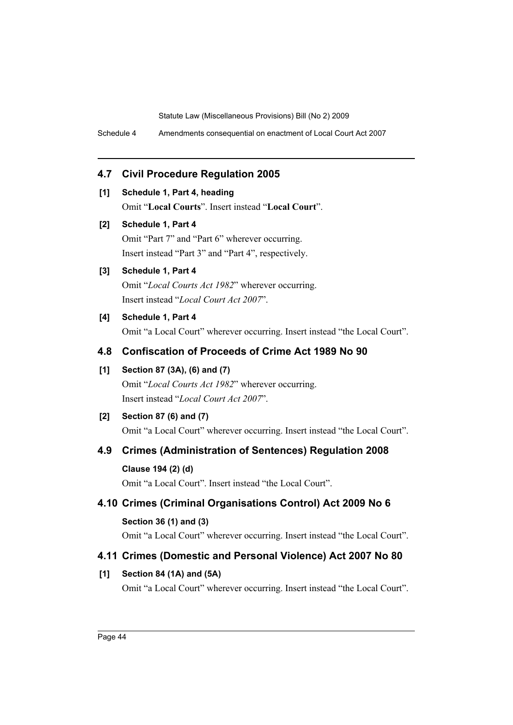Schedule 4 Amendments consequential on enactment of Local Court Act 2007

## **4.7 Civil Procedure Regulation 2005**

## **[1] Schedule 1, Part 4, heading**

Omit "**Local Courts**". Insert instead "**Local Court**".

## **[2] Schedule 1, Part 4**

Omit "Part 7" and "Part 6" wherever occurring. Insert instead "Part 3" and "Part 4", respectively.

## **[3] Schedule 1, Part 4**

Omit "*Local Courts Act 1982*" wherever occurring. Insert instead "*Local Court Act 2007*".

## **[4] Schedule 1, Part 4**

Omit "a Local Court" wherever occurring. Insert instead "the Local Court".

## **4.8 Confiscation of Proceeds of Crime Act 1989 No 90**

## **[1] Section 87 (3A), (6) and (7)**

Omit "*Local Courts Act 1982*" wherever occurring. Insert instead "*Local Court Act 2007*".

## **[2] Section 87 (6) and (7)**

Omit "a Local Court" wherever occurring. Insert instead "the Local Court".

## **4.9 Crimes (Administration of Sentences) Regulation 2008**

## **Clause 194 (2) (d)**

Omit "a Local Court". Insert instead "the Local Court".

## **4.10 Crimes (Criminal Organisations Control) Act 2009 No 6**

## **Section 36 (1) and (3)**

Omit "a Local Court" wherever occurring. Insert instead "the Local Court".

## **4.11 Crimes (Domestic and Personal Violence) Act 2007 No 80**

## **[1] Section 84 (1A) and (5A)**

Omit "a Local Court" wherever occurring. Insert instead "the Local Court".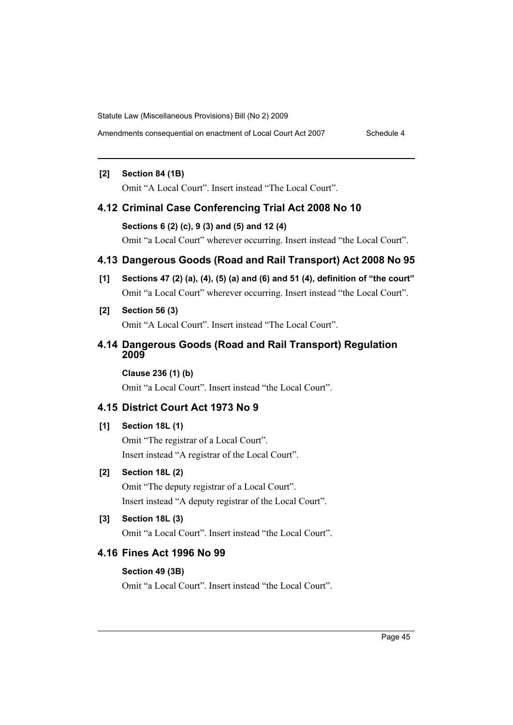Amendments consequential on enactment of Local Court Act 2007 Schedule 4

### **[2] Section 84 (1B)**

Omit "A Local Court". Insert instead "The Local Court".

## **4.12 Criminal Case Conferencing Trial Act 2008 No 10**

## **Sections 6 (2) (c), 9 (3) and (5) and 12 (4)** Omit "a Local Court" wherever occurring. Insert instead "the Local Court".

## **4.13 Dangerous Goods (Road and Rail Transport) Act 2008 No 95**

- **[1] Sections 47 (2) (a), (4), (5) (a) and (6) and 51 (4), definition of "the court"** Omit "a Local Court" wherever occurring. Insert instead "the Local Court".
- **[2] Section 56 (3)**

Omit "A Local Court". Insert instead "The Local Court".

**4.14 Dangerous Goods (Road and Rail Transport) Regulation 2009**

**Clause 236 (1) (b)** Omit "a Local Court". Insert instead "the Local Court".

## **4.15 District Court Act 1973 No 9**

### **[1] Section 18L (1)**

Omit "The registrar of a Local Court". Insert instead "A registrar of the Local Court".

### **[2] Section 18L (2)**

Omit "The deputy registrar of a Local Court". Insert instead "A deputy registrar of the Local Court".

### **[3] Section 18L (3)**

Omit "a Local Court". Insert instead "the Local Court".

## **4.16 Fines Act 1996 No 99**

## **Section 49 (3B)**

Omit "a Local Court". Insert instead "the Local Court".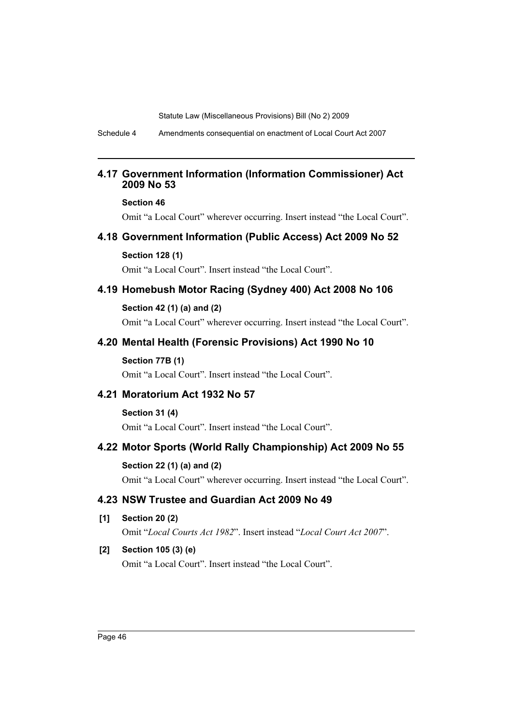Schedule 4 Amendments consequential on enactment of Local Court Act 2007

## **4.17 Government Information (Information Commissioner) Act 2009 No 53**

#### **Section 46**

Omit "a Local Court" wherever occurring. Insert instead "the Local Court".

## **4.18 Government Information (Public Access) Act 2009 No 52**

**Section 128 (1)**

Omit "a Local Court". Insert instead "the Local Court".

## **4.19 Homebush Motor Racing (Sydney 400) Act 2008 No 106**

**Section 42 (1) (a) and (2)** Omit "a Local Court" wherever occurring. Insert instead "the Local Court".

## **4.20 Mental Health (Forensic Provisions) Act 1990 No 10**

**Section 77B (1)** Omit "a Local Court". Insert instead "the Local Court".

## **4.21 Moratorium Act 1932 No 57**

## **Section 31 (4)** Omit "a Local Court". Insert instead "the Local Court".

## **4.22 Motor Sports (World Rally Championship) Act 2009 No 55**

## **Section 22 (1) (a) and (2)**

Omit "a Local Court" wherever occurring. Insert instead "the Local Court".

## **4.23 NSW Trustee and Guardian Act 2009 No 49**

## **[1] Section 20 (2)**

Omit "*Local Courts Act 1982*". Insert instead "*Local Court Act 2007*".

## **[2] Section 105 (3) (e)**

Omit "a Local Court". Insert instead "the Local Court".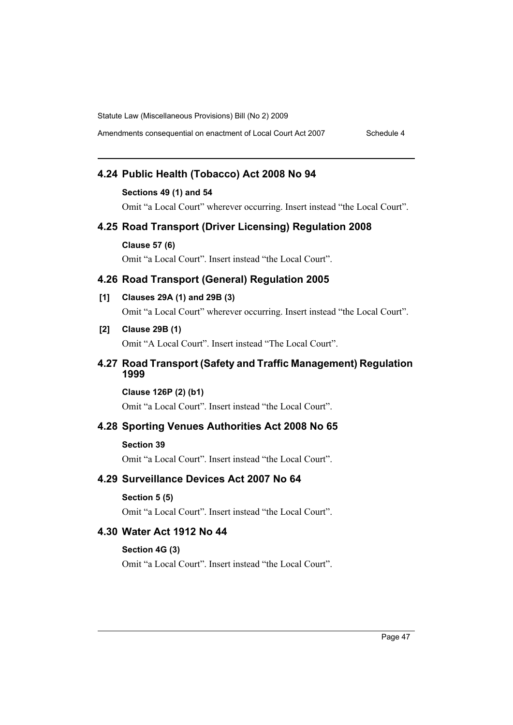Amendments consequential on enactment of Local Court Act 2007 Schedule 4

## **4.24 Public Health (Tobacco) Act 2008 No 94**

### **Sections 49 (1) and 54**

Omit "a Local Court" wherever occurring. Insert instead "the Local Court".

## **4.25 Road Transport (Driver Licensing) Regulation 2008**

### **Clause 57 (6)**

Omit "a Local Court". Insert instead "the Local Court".

## **4.26 Road Transport (General) Regulation 2005**

## **[1] Clauses 29A (1) and 29B (3)**

Omit "a Local Court" wherever occurring. Insert instead "the Local Court".

## **[2] Clause 29B (1)**

Omit "A Local Court". Insert instead "The Local Court".

## **4.27 Road Transport (Safety and Traffic Management) Regulation 1999**

## **Clause 126P (2) (b1)**

Omit "a Local Court". Insert instead "the Local Court".

## **4.28 Sporting Venues Authorities Act 2008 No 65**

### **Section 39**

Omit "a Local Court". Insert instead "the Local Court".

## **4.29 Surveillance Devices Act 2007 No 64**

### **Section 5 (5)**

Omit "a Local Court". Insert instead "the Local Court".

## **4.30 Water Act 1912 No 44**

## **Section 4G (3)**

Omit "a Local Court". Insert instead "the Local Court".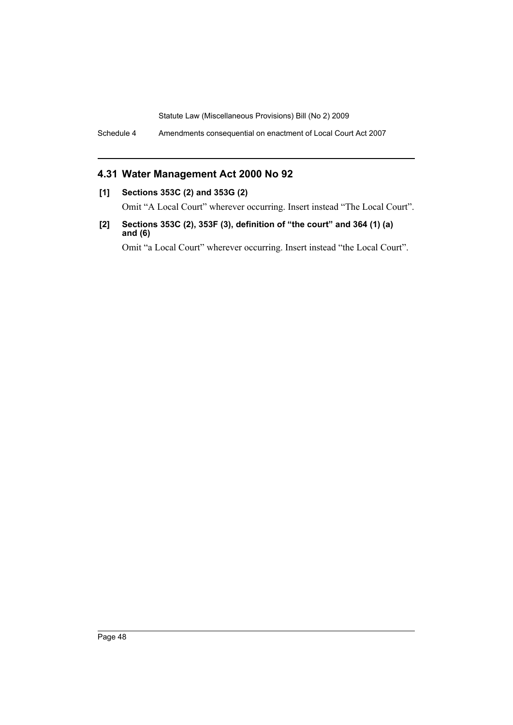Schedule 4 Amendments consequential on enactment of Local Court Act 2007

## **4.31 Water Management Act 2000 No 92**

## **[1] Sections 353C (2) and 353G (2)**

Omit "A Local Court" wherever occurring. Insert instead "The Local Court".

**[2] Sections 353C (2), 353F (3), definition of "the court" and 364 (1) (a) and (6)**

Omit "a Local Court" wherever occurring. Insert instead "the Local Court".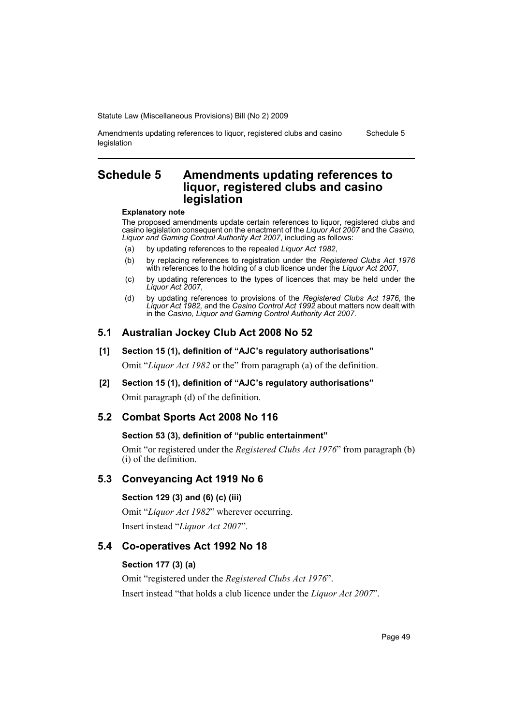Amendments updating references to liquor, registered clubs and casino legislation

Schedule 5

## <span id="page-50-0"></span>**Schedule 5 Amendments updating references to liquor, registered clubs and casino legislation**

#### **Explanatory note**

The proposed amendments update certain references to liquor, registered clubs and casino legislation consequent on the enactment of the *Liquor Act 2007* and the *Casino, Liquor and Gaming Control Authority Act 2007*, including as follows:

- (a) by updating references to the repealed *Liquor Act 1982*,
- (b) by replacing references to registration under the *Registered Clubs Act 1976* with references to the holding of a club licence under the *Liquor Act 2007*,
- (c) by updating references to the types of licences that may be held under the *Liquor Act 2007*,
- (d) by updating references to provisions of the *Registered Clubs Act 1976*, the *Liquor Act 1982, a*nd the *Casino Control Act 1992* about matters now dealt with in the *Casino, Liquor and Gaming Control Authority Act 2007*.

## **5.1 Australian Jockey Club Act 2008 No 52**

### **[1] Section 15 (1), definition of "AJC's regulatory authorisations"**

Omit "*Liquor Act 1982* or the" from paragraph (a) of the definition.

**[2] Section 15 (1), definition of "AJC's regulatory authorisations"** Omit paragraph (d) of the definition.

## **5.2 Combat Sports Act 2008 No 116**

### **Section 53 (3), definition of "public entertainment"**

Omit "or registered under the *Registered Clubs Act 1976*" from paragraph (b) (i) of the definition.

## **5.3 Conveyancing Act 1919 No 6**

### **Section 129 (3) and (6) (c) (iii)**

Omit "*Liquor Act 1982*" wherever occurring.

Insert instead "*Liquor Act 2007*".

## **5.4 Co-operatives Act 1992 No 18**

### **Section 177 (3) (a)**

Omit "registered under the *Registered Clubs Act 1976*". Insert instead "that holds a club licence under the *Liquor Act 2007*".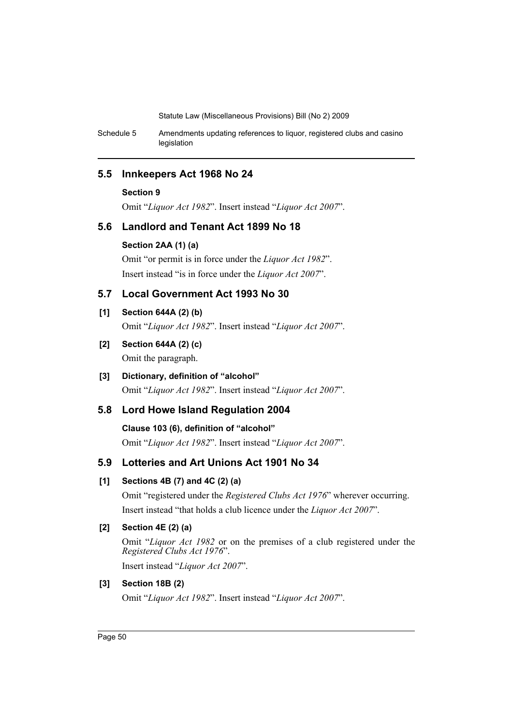Schedule 5 Amendments updating references to liquor, registered clubs and casino legislation

## **5.5 Innkeepers Act 1968 No 24**

#### **Section 9**

Omit "*Liquor Act 1982*". Insert instead "*Liquor Act 2007*".

## **5.6 Landlord and Tenant Act 1899 No 18**

## **Section 2AA (1) (a)**

Omit "or permit is in force under the *Liquor Act 1982*". Insert instead "is in force under the *Liquor Act 2007*".

## **5.7 Local Government Act 1993 No 30**

### **[1] Section 644A (2) (b)**

Omit "*Liquor Act 1982*". Insert instead "*Liquor Act 2007*".

## **[2] Section 644A (2) (c)**

Omit the paragraph.

## **[3] Dictionary, definition of "alcohol"**

Omit "*Liquor Act 1982*". Insert instead "*Liquor Act 2007*".

## **5.8 Lord Howe Island Regulation 2004**

### **Clause 103 (6), definition of "alcohol"**

Omit "*Liquor Act 1982*". Insert instead "*Liquor Act 2007*".

## **5.9 Lotteries and Art Unions Act 1901 No 34**

## **[1] Sections 4B (7) and 4C (2) (a)**

Omit "registered under the *Registered Clubs Act 1976*" wherever occurring. Insert instead "that holds a club licence under the *Liquor Act 2007*".

## **[2] Section 4E (2) (a)**

Omit "*Liquor Act 1982* or on the premises of a club registered under the *Registered Clubs Act 1976*".

Insert instead "*Liquor Act 2007*".

### **[3] Section 18B (2)**

Omit "*Liquor Act 1982*". Insert instead "*Liquor Act 2007*".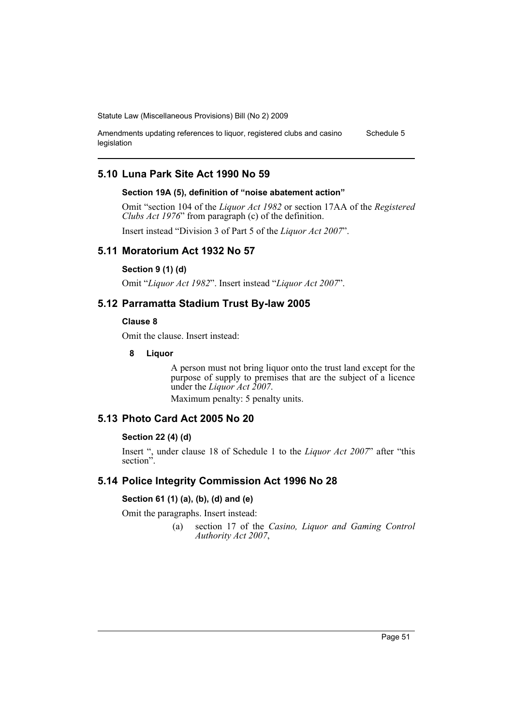Amendments updating references to liquor, registered clubs and casino legislation Schedule 5

## **5.10 Luna Park Site Act 1990 No 59**

### **Section 19A (5), definition of "noise abatement action"**

Omit "section 104 of the *Liquor Act 1982* or section 17AA of the *Registered Clubs Act 1976*" from paragraph (c) of the definition.

Insert instead "Division 3 of Part 5 of the *Liquor Act 2007*".

## **5.11 Moratorium Act 1932 No 57**

## **Section 9 (1) (d)**

Omit "*Liquor Act 1982*". Insert instead "*Liquor Act 2007*".

## **5.12 Parramatta Stadium Trust By-law 2005**

### **Clause 8**

Omit the clause. Insert instead:

### **8 Liquor**

A person must not bring liquor onto the trust land except for the purpose of supply to premises that are the subject of a licence under the *Liquor Act 2007*.

Maximum penalty: 5 penalty units.

## **5.13 Photo Card Act 2005 No 20**

### **Section 22 (4) (d)**

Insert ", under clause 18 of Schedule 1 to the *Liquor Act 2007*" after "this section<sup>"</sup>.

## **5.14 Police Integrity Commission Act 1996 No 28**

### **Section 61 (1) (a), (b), (d) and (e)**

Omit the paragraphs. Insert instead:

(a) section 17 of the *Casino, Liquor and Gaming Control Authority Act 2007*,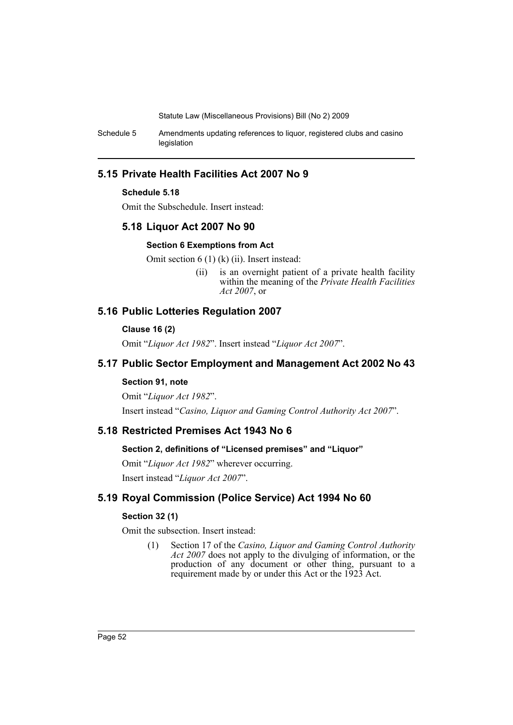Schedule 5 Amendments updating references to liquor, registered clubs and casino legislation

## **5.15 Private Health Facilities Act 2007 No 9**

## **Schedule 5.18**

Omit the Subschedule. Insert instead:

## **5.18 Liquor Act 2007 No 90**

### **Section 6 Exemptions from Act**

Omit section 6 (1) (k) (ii). Insert instead:

(ii) is an overnight patient of a private health facility within the meaning of the *Private Health Facilities Act 2007*, or

## **5.16 Public Lotteries Regulation 2007**

### **Clause 16 (2)**

Omit "*Liquor Act 1982*". Insert instead "*Liquor Act 2007*".

## **5.17 Public Sector Employment and Management Act 2002 No 43**

### **Section 91, note**

Omit "*Liquor Act 1982*". Insert instead "*Casino, Liquor and Gaming Control Authority Act 2007*".

## **5.18 Restricted Premises Act 1943 No 6**

### **Section 2, definitions of "Licensed premises" and "Liquor"**

Omit "*Liquor Act 1982*" wherever occurring. Insert instead "*Liquor Act 2007*".

## **5.19 Royal Commission (Police Service) Act 1994 No 60**

## **Section 32 (1)**

Omit the subsection. Insert instead:

(1) Section 17 of the *Casino, Liquor and Gaming Control Authority Act 2007* does not apply to the divulging of information, or the production of any document or other thing, pursuant to a requirement made by or under this Act or the 1923 Act.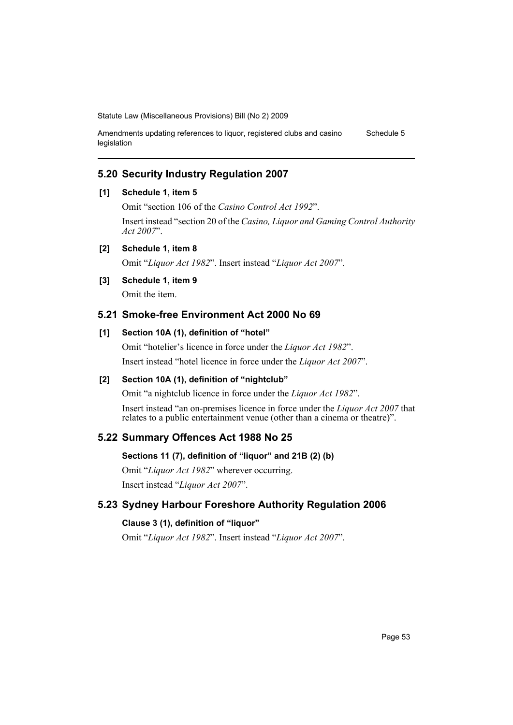Amendments updating references to liquor, registered clubs and casino legislation Schedule 5

## **5.20 Security Industry Regulation 2007**

### **[1] Schedule 1, item 5**

Omit "section 106 of the *Casino Control Act 1992*".

Insert instead "section 20 of the *Casino, Liquor and Gaming Control Authority Act 2007*".

### **[2] Schedule 1, item 8**

Omit "*Liquor Act 1982*". Insert instead "*Liquor Act 2007*".

#### **[3] Schedule 1, item 9**

Omit the item.

## **5.21 Smoke-free Environment Act 2000 No 69**

### **[1] Section 10A (1), definition of "hotel"**

Omit "hotelier's licence in force under the *Liquor Act 1982*". Insert instead "hotel licence in force under the *Liquor Act 2007*".

#### **[2] Section 10A (1), definition of "nightclub"**

Omit "a nightclub licence in force under the *Liquor Act 1982*".

Insert instead "an on-premises licence in force under the *Liquor Act 2007* that relates to a public entertainment venue (other than a cinema or theatre)".

## **5.22 Summary Offences Act 1988 No 25**

**Sections 11 (7), definition of "liquor" and 21B (2) (b)**

Omit "*Liquor Act 1982*" wherever occurring. Insert instead "*Liquor Act 2007*".

## **5.23 Sydney Harbour Foreshore Authority Regulation 2006**

## **Clause 3 (1), definition of "liquor"**

Omit "*Liquor Act 1982*". Insert instead "*Liquor Act 2007*".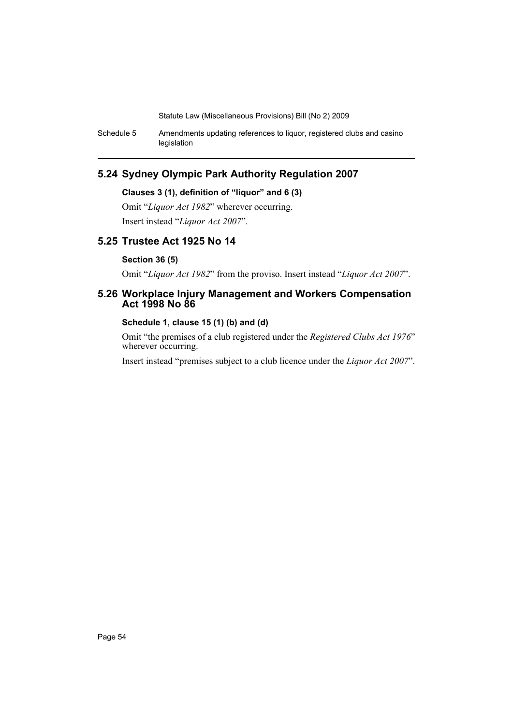Schedule 5 Amendments updating references to liquor, registered clubs and casino legislation

## **5.24 Sydney Olympic Park Authority Regulation 2007**

## **Clauses 3 (1), definition of "liquor" and 6 (3)**

Omit "*Liquor Act 1982*" wherever occurring. Insert instead "*Liquor Act 2007*".

## **5.25 Trustee Act 1925 No 14**

### **Section 36 (5)**

Omit "*Liquor Act 1982*" from the proviso. Insert instead "*Liquor Act 2007*".

## **5.26 Workplace Injury Management and Workers Compensation Act 1998 No 86**

## **Schedule 1, clause 15 (1) (b) and (d)**

Omit "the premises of a club registered under the *Registered Clubs Act 1976*" wherever occurring.

Insert instead "premises subject to a club licence under the *Liquor Act 2007*".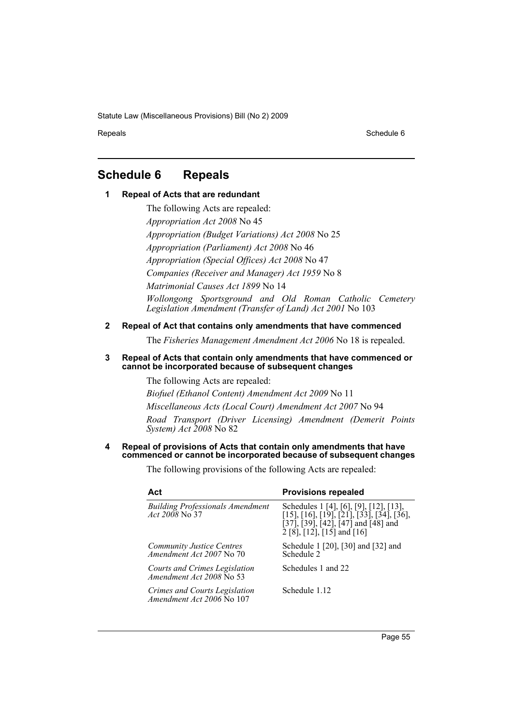Repeals **Schedule 6** and the set of the set of the set of the set of the set of the set of the set of the set of the set of the set of the set of the set of the set of the set of the set of the set of the set of the set of

## <span id="page-56-0"></span>**Schedule 6 Repeals**

#### **1 Repeal of Acts that are redundant**

The following Acts are repealed: *Appropriation Act 2008* No 45 *Appropriation (Budget Variations) Act 2008* No 25 *Appropriation (Parliament) Act 2008* No 46 *Appropriation (Special Offices) Act 2008* No 47 *Companies (Receiver and Manager) Act 1959* No 8 *Matrimonial Causes Act 1899* No 14 *Wollongong Sportsground and Old Roman Catholic Cemetery Legislation Amendment (Transfer of Land) Act 2001* No 103

#### **2 Repeal of Act that contains only amendments that have commenced**

The *Fisheries Management Amendment Act 2006* No 18 is repealed.

#### **3 Repeal of Acts that contain only amendments that have commenced or cannot be incorporated because of subsequent changes**

The following Acts are repealed: *Biofuel (Ethanol Content) Amendment Act 2009* No 11 *Miscellaneous Acts (Local Court) Amendment Act 2007* No 94 *Road Transport (Driver Licensing) Amendment (Demerit Points System) Act 2008* No 82

#### **4 Repeal of provisions of Acts that contain only amendments that have commenced or cannot be incorporated because of subsequent changes**

The following provisions of the following Acts are repealed:

| Act                                                          | <b>Provisions repealed</b>                                                                                                                                          |
|--------------------------------------------------------------|---------------------------------------------------------------------------------------------------------------------------------------------------------------------|
| <b>Building Professionals Amendment</b><br>Act 2008 No 37    | Schedules 1 [4], [6], [9], [12], [13],<br>$[15]$ , [16], [19], [21], [33], [34], [36],<br>[37], [39], [42], [47] and [48] and<br>$\bar{2}$ [8], [12], [15] and [16] |
| <b>Community Justice Centres</b><br>Amendment Act 2007 No 70 | Schedule 1 [20], [30] and [32] and<br>Schedule 2                                                                                                                    |
| Courts and Crimes Legislation<br>Amendment Act 2008 No 53    | Schedules 1 and 22                                                                                                                                                  |
| Crimes and Courts Legislation<br>Amendment Act 2006 No 107   | Schedule 1.12                                                                                                                                                       |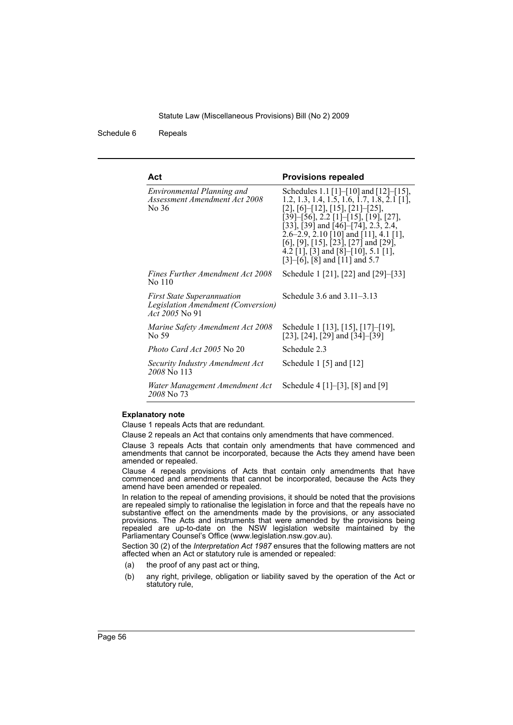Schedule 6 Repeals

| Act                                                                                              | <b>Provisions repealed</b>                                                                                                                                                                                                                                                                                                                                                                                                         |
|--------------------------------------------------------------------------------------------------|------------------------------------------------------------------------------------------------------------------------------------------------------------------------------------------------------------------------------------------------------------------------------------------------------------------------------------------------------------------------------------------------------------------------------------|
| Environmental Planning and<br>Assessment Amendment Act 2008<br>No 36                             | Schedules 1.1 [1]–[10] and [12]–[15],<br>1.2, 1.3, 1.4, 1.5, 1.6, 1.7, 1.8, 2.1 [1],<br>$[2]$ , $[6]$ – $[12]$ , $[15]$ , $[21]$ – $[25]$ ,<br>$[39]$ - $[56]$ , 2.2 $[1]$ - $[15]$ , $[19]$ , $[27]$ ,<br>[33], [39] and [46]–[74], 2.3, 2.4,<br>2.6–2.9, 2.10 [10] and [11], 4.1 [1],<br>[6], [9], [15], [23], [27] and [29],<br>$\overline{4}.\overline{2}$ [1], [3] and [8]–[10], 5.1 [1],<br>$[3]$ -[6], [8] and [11] and 5.7 |
| Fines Further Amendment Act 2008<br>No 110                                                       | Schedule 1 [21], [22] and [29]–[33]                                                                                                                                                                                                                                                                                                                                                                                                |
| <b>First State Superannuation</b><br>Legislation Amendment (Conversion)<br><i>Act 2005</i> No 91 | Schedule 3.6 and 3.11–3.13                                                                                                                                                                                                                                                                                                                                                                                                         |
| Marine Safety Amendment Act 2008<br>No 59                                                        | Schedule 1 [13], [15], [17]–[19],<br>$[23]$ , $[24]$ , $[29]$ and $[34]$ – $[39]$                                                                                                                                                                                                                                                                                                                                                  |
| <i>Photo Card Act 2005</i> No 20                                                                 | Schedule 2.3                                                                                                                                                                                                                                                                                                                                                                                                                       |
| Security Industry Amendment Act<br>2008 No 113                                                   | Schedule 1 [5] and $[12]$                                                                                                                                                                                                                                                                                                                                                                                                          |
| Water Management Amendment Act<br>2008 No 73                                                     | Schedule 4 [1]–[3], [8] and [9]                                                                                                                                                                                                                                                                                                                                                                                                    |

#### **Explanatory note**

Clause 1 repeals Acts that are redundant.

Clause 2 repeals an Act that contains only amendments that have commenced.

Clause 3 repeals Acts that contain only amendments that have commenced and amendments that cannot be incorporated, because the Acts they amend have been amended or repealed.

Clause 4 repeals provisions of Acts that contain only amendments that have commenced and amendments that cannot be incorporated, because the Acts they amend have been amended or repealed.

In relation to the repeal of amending provisions, it should be noted that the provisions are repealed simply to rationalise the legislation in force and that the repeals have no substantive effect on the amendments made by the provisions, or any associated provisions. The Acts and instruments that were amended by the provisions being repealed are up-to-date on the NSW legislation website maintained by the Parliamentary Counsel's Office (www.legislation.nsw.gov.au).

Section 30 (2) of the *Interpretation Act 1987* ensures that the following matters are not affected when an Act or statutory rule is amended or repealed:

- (a) the proof of any past act or thing,
- (b) any right, privilege, obligation or liability saved by the operation of the Act or statutory rule,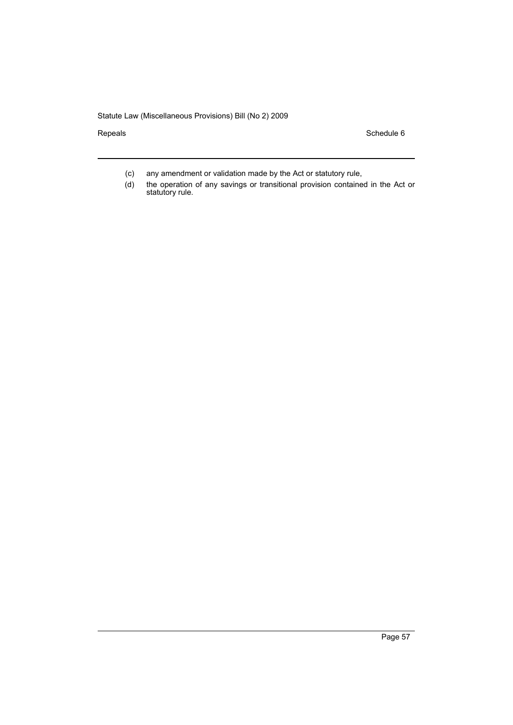Repeals Schedule 6

- (c) any amendment or validation made by the Act or statutory rule,
- (d) the operation of any savings or transitional provision contained in the Act or statutory rule.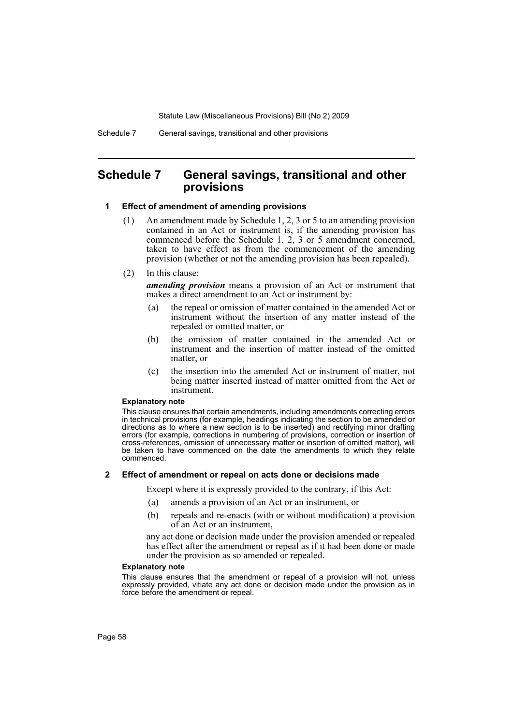## <span id="page-59-0"></span>**Schedule 7 General savings, transitional and other provisions**

#### **1 Effect of amendment of amending provisions**

- (1) An amendment made by Schedule 1, 2, 3 or 5 to an amending provision contained in an Act or instrument is, if the amending provision has commenced before the Schedule 1, 2, 3 or 5 amendment concerned, taken to have effect as from the commencement of the amending provision (whether or not the amending provision has been repealed).
- (2) In this clause:

*amending provision* means a provision of an Act or instrument that makes a direct amendment to an Act or instrument by:

- (a) the repeal or omission of matter contained in the amended Act or instrument without the insertion of any matter instead of the repealed or omitted matter, or
- (b) the omission of matter contained in the amended Act or instrument and the insertion of matter instead of the omitted matter, or
- (c) the insertion into the amended Act or instrument of matter, not being matter inserted instead of matter omitted from the Act or instrument.

#### **Explanatory note**

This clause ensures that certain amendments, including amendments correcting errors in technical provisions (for example, headings indicating the section to be amended or directions as to where a new section is to be inserted) and rectifying minor drafting errors (for example, corrections in numbering of provisions, correction or insertion of cross-references, omission of unnecessary matter or insertion of omitted matter), will be taken to have commenced on the date the amendments to which they relate commenced.

#### **2 Effect of amendment or repeal on acts done or decisions made**

Except where it is expressly provided to the contrary, if this Act:

- (a) amends a provision of an Act or an instrument, or
- (b) repeals and re-enacts (with or without modification) a provision of an Act or an instrument,

any act done or decision made under the provision amended or repealed has effect after the amendment or repeal as if it had been done or made under the provision as so amended or repealed.

#### **Explanatory note**

This clause ensures that the amendment or repeal of a provision will not, unless expressly provided, vitiate any act done or decision made under the provision as in force before the amendment or repeal.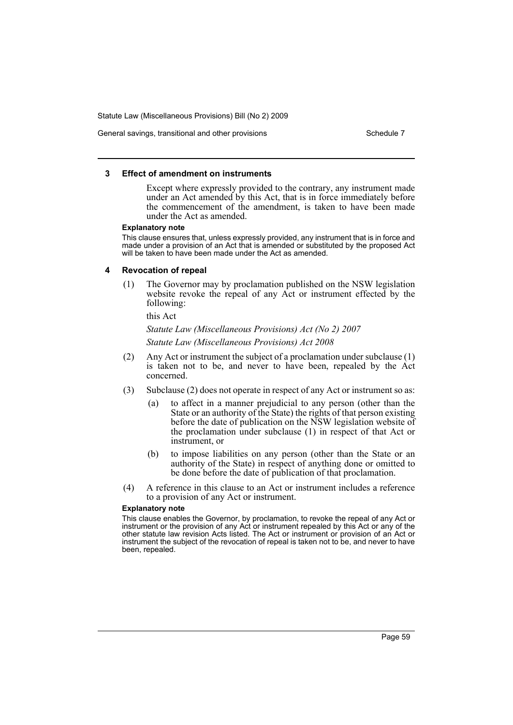General savings, transitional and other provisions Schedule 7 Schedule 7

#### **3 Effect of amendment on instruments**

Except where expressly provided to the contrary, any instrument made under an Act amended by this Act, that is in force immediately before the commencement of the amendment, is taken to have been made under the Act as amended.

#### **Explanatory note**

This clause ensures that, unless expressly provided, any instrument that is in force and made under a provision of an Act that is amended or substituted by the proposed Act will be taken to have been made under the Act as amended.

#### **4 Revocation of repeal**

(1) The Governor may by proclamation published on the NSW legislation website revoke the repeal of any Act or instrument effected by the following:

this Act

*Statute Law (Miscellaneous Provisions) Act (No 2) 2007 Statute Law (Miscellaneous Provisions) Act 2008*

- (2) Any Act or instrument the subject of a proclamation under subclause (1) is taken not to be, and never to have been, repealed by the Act concerned.
- (3) Subclause (2) does not operate in respect of any Act or instrument so as:
	- (a) to affect in a manner prejudicial to any person (other than the State or an authority of the State) the rights of that person existing before the date of publication on the NSW legislation website of the proclamation under subclause (1) in respect of that Act or instrument, or
	- (b) to impose liabilities on any person (other than the State or an authority of the State) in respect of anything done or omitted to be done before the date of publication of that proclamation.
- (4) A reference in this clause to an Act or instrument includes a reference to a provision of any Act or instrument.

#### **Explanatory note**

This clause enables the Governor, by proclamation, to revoke the repeal of any Act or instrument or the provision of any Act or instrument repealed by this Act or any of the other statute law revision Acts listed. The Act or instrument or provision of an Act or instrument the subject of the revocation of repeal is taken not to be, and never to have been, repealed.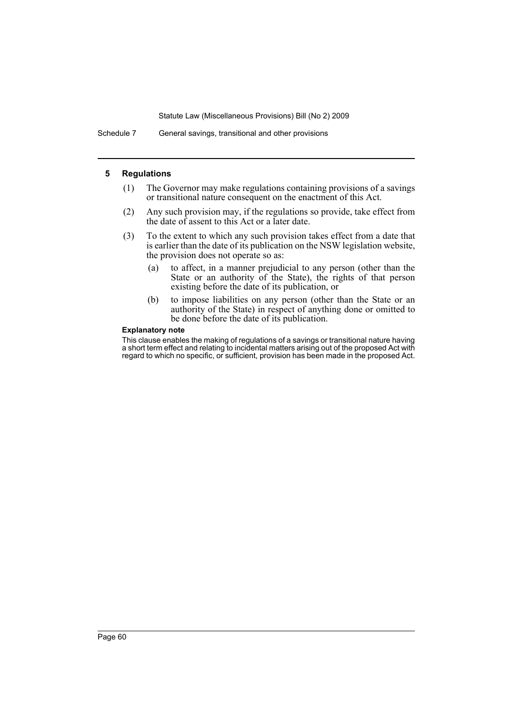Schedule 7 General savings, transitional and other provisions

#### **5 Regulations**

- (1) The Governor may make regulations containing provisions of a savings or transitional nature consequent on the enactment of this Act.
- (2) Any such provision may, if the regulations so provide, take effect from the date of assent to this Act or a later date.
- (3) To the extent to which any such provision takes effect from a date that is earlier than the date of its publication on the NSW legislation website, the provision does not operate so as:
	- (a) to affect, in a manner prejudicial to any person (other than the State or an authority of the State), the rights of that person existing before the date of its publication, or
	- (b) to impose liabilities on any person (other than the State or an authority of the State) in respect of anything done or omitted to be done before the date of its publication.

#### **Explanatory note**

This clause enables the making of regulations of a savings or transitional nature having a short term effect and relating to incidental matters arising out of the proposed Act with regard to which no specific, or sufficient, provision has been made in the proposed Act.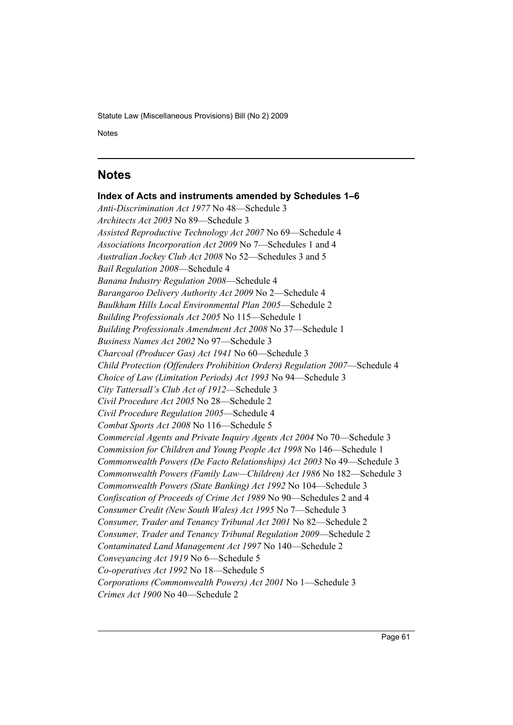**Notes** 

## <span id="page-62-0"></span>**Notes**

**Index of Acts and instruments amended by Schedules 1–6** *Anti-Discrimination Act 1977* No 48—Schedule 3 *Architects Act 2003* No 89—Schedule 3 *Assisted Reproductive Technology Act 2007* No 69—Schedule 4 *Associations Incorporation Act 2009* No 7—Schedules 1 and 4 *Australian Jockey Club Act 2008* No 52—Schedules 3 and 5 *Bail Regulation 2008*—Schedule 4 *Banana Industry Regulation 2008*—Schedule 4 *Barangaroo Delivery Authority Act 2009* No 2—Schedule 4 *Baulkham Hills Local Environmental Plan 2005*—Schedule 2 *Building Professionals Act 2005* No 115—Schedule 1 *Building Professionals Amendment Act 2008* No 37—Schedule 1 *Business Names Act 2002* No 97—Schedule 3 *Charcoal (Producer Gas) Act 1941* No 60—Schedule 3 *Child Protection (Offenders Prohibition Orders) Regulation 2007*—Schedule 4 *Choice of Law (Limitation Periods) Act 1993* No 94—Schedule 3 *City Tattersall's Club Act of 1912*—Schedule 3 *Civil Procedure Act 2005* No 28—Schedule 2 *Civil Procedure Regulation 2005*—Schedule 4 *Combat Sports Act 2008* No 116—Schedule 5 *Commercial Agents and Private Inquiry Agents Act 2004* No 70—Schedule 3 *Commission for Children and Young People Act 1998* No 146—Schedule 1 *Commonwealth Powers (De Facto Relationships) Act 2003* No 49—Schedule 3 *Commonwealth Powers (Family Law—Children) Act 1986* No 182—Schedule 3 *Commonwealth Powers (State Banking) Act 1992* No 104—Schedule 3 *Confiscation of Proceeds of Crime Act 1989* No 90—Schedules 2 and 4 *Consumer Credit (New South Wales) Act 1995* No 7—Schedule 3 *Consumer, Trader and Tenancy Tribunal Act 2001* No 82—Schedule 2 *Consumer, Trader and Tenancy Tribunal Regulation 2009*—Schedule 2 *Contaminated Land Management Act 1997* No 140—Schedule 2 *Conveyancing Act 1919* No 6—Schedule 5 *Co-operatives Act 1992* No 18—Schedule 5 *Corporations (Commonwealth Powers) Act 2001* No 1—Schedule 3 *Crimes Act 1900* No 40—Schedule 2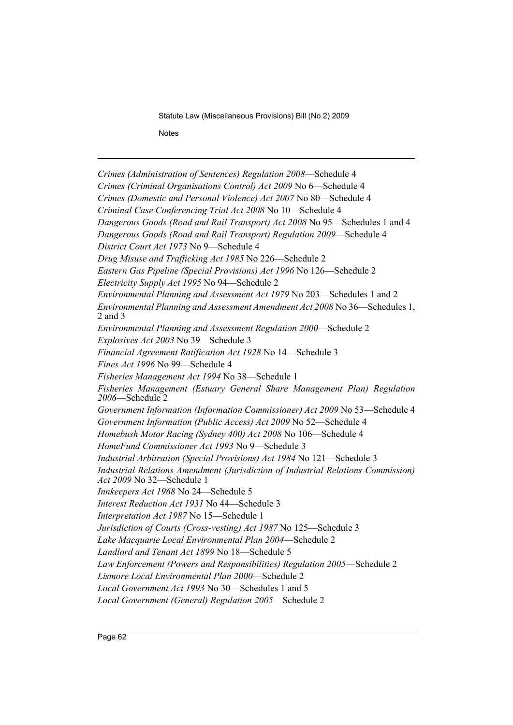*Crimes (Administration of Sentences) Regulation 2008*—Schedule 4 *Crimes (Criminal Organisations Control) Act 2009* No 6—Schedule 4 *Crimes (Domestic and Personal Violence) Act 2007* No 80—Schedule 4 *Criminal Case Conferencing Trial Act 2008* No 10—Schedule 4 *Dangerous Goods (Road and Rail Transport) Act 2008* No 95—Schedules 1 and 4 *Dangerous Goods (Road and Rail Transport) Regulation 2009*—Schedule 4 *District Court Act 1973* No 9—Schedule 4 *Drug Misuse and Trafficking Act 1985* No 226—Schedule 2 *Eastern Gas Pipeline (Special Provisions) Act 1996* No 126—Schedule 2 *Electricity Supply Act 1995* No 94—Schedule 2 *Environmental Planning and Assessment Act 1979* No 203—Schedules 1 and 2 *Environmental Planning and Assessment Amendment Act 2008* No 36—Schedules 1, 2 and 3 *Environmental Planning and Assessment Regulation 2000*—Schedule 2 *Explosives Act 2003* No 39—Schedule 3 *Financial Agreement Ratification Act 1928* No 14—Schedule 3 *Fines Act 1996* No 99—Schedule 4 *Fisheries Management Act 1994* No 38—Schedule 1 *Fisheries Management (Estuary General Share Management Plan) Regulation 2006*—Schedule 2 *Government Information (Information Commissioner) Act 2009* No 53—Schedule 4 *Government Information (Public Access) Act 2009* No 52—Schedule 4 *Homebush Motor Racing (Sydney 400) Act 2008* No 106—Schedule 4 *HomeFund Commissioner Act 1993* No 9—Schedule 3 *Industrial Arbitration (Special Provisions) Act 1984* No 121—Schedule 3 *Industrial Relations Amendment (Jurisdiction of Industrial Relations Commission) Act 2009* No 32—Schedule 1 *Innkeepers Act 1968* No 24—Schedule 5 *Interest Reduction Act 1931* No 44—Schedule 3 *Interpretation Act 1987* No 15—Schedule 1 *Jurisdiction of Courts (Cross-vesting) Act 1987* No 125—Schedule 3 *Lake Macquarie Local Environmental Plan 2004*—Schedule 2 *Landlord and Tenant Act 1899* No 18—Schedule 5 *Law Enforcement (Powers and Responsibilities) Regulation 2005*—Schedule 2 *Lismore Local Environmental Plan 2000*—Schedule 2 *Local Government Act 1993* No 30—Schedules 1 and 5 *Local Government (General) Regulation 2005*—Schedule 2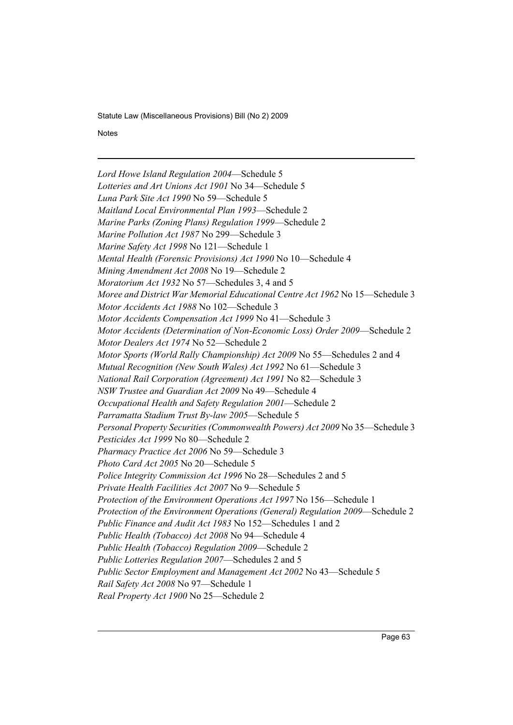**Notes** 

*Lord Howe Island Regulation 2004*—Schedule 5 *Lotteries and Art Unions Act 1901* No 34—Schedule 5 *Luna Park Site Act 1990* No 59—Schedule 5 *Maitland Local Environmental Plan 1993*—Schedule 2 *Marine Parks (Zoning Plans) Regulation 1999*—Schedule 2 *Marine Pollution Act 1987* No 299—Schedule 3 *Marine Safety Act 1998* No 121—Schedule 1 *Mental Health (Forensic Provisions) Act 1990* No 10—Schedule 4 *Mining Amendment Act 2008* No 19—Schedule 2 *Moratorium Act 1932* No 57—Schedules 3, 4 and 5 *Moree and District War Memorial Educational Centre Act 1962* No 15—Schedule 3 *Motor Accidents Act 1988* No 102—Schedule 3 *Motor Accidents Compensation Act 1999* No 41—Schedule 3 *Motor Accidents (Determination of Non-Economic Loss) Order 2009*—Schedule 2 *Motor Dealers Act 1974* No 52—Schedule 2 *Motor Sports (World Rally Championship) Act 2009* No 55—Schedules 2 and 4 *Mutual Recognition (New South Wales) Act 1992* No 61—Schedule 3 *National Rail Corporation (Agreement) Act 1991* No 82—Schedule 3 *NSW Trustee and Guardian Act 2009* No 49—Schedule 4 *Occupational Health and Safety Regulation 2001*—Schedule 2 *Parramatta Stadium Trust By-law 2005*—Schedule 5 *Personal Property Securities (Commonwealth Powers) Act 2009* No 35—Schedule 3 *Pesticides Act 1999* No 80—Schedule 2 *Pharmacy Practice Act 2006* No 59—Schedule 3 *Photo Card Act 2005* No 20—Schedule 5 *Police Integrity Commission Act 1996* No 28—Schedules 2 and 5 *Private Health Facilities Act 2007* No 9—Schedule 5 *Protection of the Environment Operations Act 1997* No 156—Schedule 1 *Protection of the Environment Operations (General) Regulation 2009*—Schedule 2 *Public Finance and Audit Act 1983* No 152—Schedules 1 and 2 *Public Health (Tobacco) Act 2008* No 94—Schedule 4 *Public Health (Tobacco) Regulation 2009*—Schedule 2 *Public Lotteries Regulation 2007*—Schedules 2 and 5 *Public Sector Employment and Management Act 2002* No 43—Schedule 5 *Rail Safety Act 2008* No 97—Schedule 1 *Real Property Act 1900* No 25—Schedule 2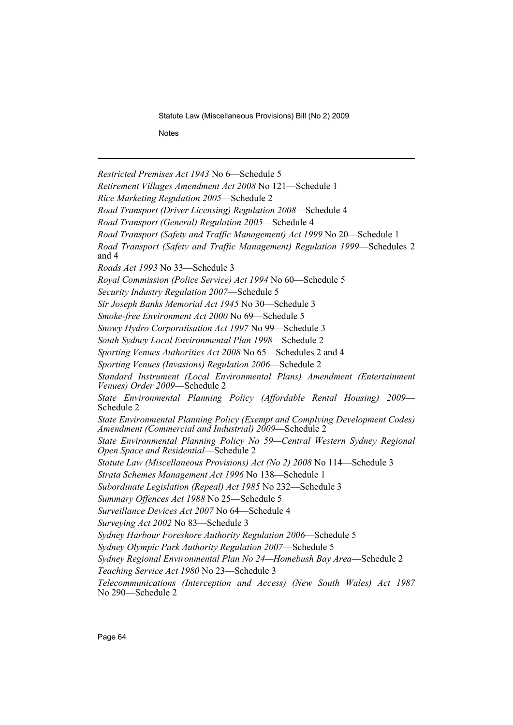Notes

*Restricted Premises Act 1943* No 6—Schedule 5 *Retirement Villages Amendment Act 2008* No 121—Schedule 1 *Rice Marketing Regulation 2005*—Schedule 2 *Road Transport (Driver Licensing) Regulation 2008*—Schedule 4 *Road Transport (General) Regulation 2005*—Schedule 4 *Road Transport (Safety and Traffic Management) Act 1999* No 20—Schedule 1 *Road Transport (Safety and Traffic Management) Regulation 1999*—Schedules 2 and 4 *Roads Act 1993* No 33—Schedule 3 *Royal Commission (Police Service) Act 1994* No 60—Schedule 5 *Security Industry Regulation 2007*—Schedule 5 *Sir Joseph Banks Memorial Act 1945* No 30—Schedule 3 *Smoke-free Environment Act 2000* No 69—Schedule 5 *Snowy Hydro Corporatisation Act 1997* No 99—Schedule 3 *South Sydney Local Environmental Plan 1998*—Schedule 2 *Sporting Venues Authorities Act 2008* No 65—Schedules 2 and 4 *Sporting Venues (Invasions) Regulation 2006*—Schedule 2 *Standard Instrument (Local Environmental Plans) Amendment (Entertainment Venues) Order 2009*—Schedule 2 *State Environmental Planning Policy (Affordable Rental Housing) 2009*— Schedule 2 *State Environmental Planning Policy (Exempt and Complying Development Codes) Amendment (Commercial and Industrial) 2009*—Schedule 2 *State Environmental Planning Policy No 59—Central Western Sydney Regional Open Space and Residential*—Schedule 2 *Statute Law (Miscellaneous Provisions) Act (No 2) 2008* No 114—Schedule 3 *Strata Schemes Management Act 1996* No 138—Schedule 1 *Subordinate Legislation (Repeal) Act 1985* No 232—Schedule 3 *Summary Offences Act 1988* No 25—Schedule 5 *Surveillance Devices Act 2007* No 64—Schedule 4 *Surveying Act 2002* No 83—Schedule 3 *Sydney Harbour Foreshore Authority Regulation 2006*—Schedule 5 *Sydney Olympic Park Authority Regulation 2007*—Schedule 5 *Sydney Regional Environmental Plan No 24—Homebush Bay Area*—Schedule 2 *Teaching Service Act 1980* No 23—Schedule 3 *Telecommunications (Interception and Access) (New South Wales) Act 1987* No 290—Schedule 2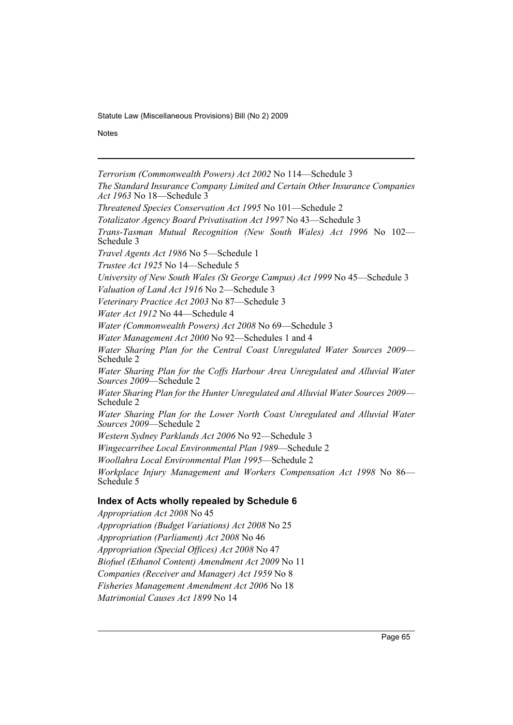**Notes** 

*Terrorism (Commonwealth Powers) Act 2002* No 114—Schedule 3 *The Standard Insurance Company Limited and Certain Other Insurance Companies Act 1963* No 18—Schedule 3 *Threatened Species Conservation Act 1995* No 101—Schedule 2 *Totalizator Agency Board Privatisation Act 1997* No 43—Schedule 3 *Trans-Tasman Mutual Recognition (New South Wales) Act 1996* No 102— Schedule 3 *Travel Agents Act 1986* No 5—Schedule 1 *Trustee Act 1925* No 14—Schedule 5 *University of New South Wales (St George Campus) Act 1999* No 45—Schedule 3 *Valuation of Land Act 1916* No 2—Schedule 3 *Veterinary Practice Act 2003* No 87—Schedule 3 *Water Act 1912* No 44—Schedule 4 *Water (Commonwealth Powers) Act 2008* No 69—Schedule 3 *Water Management Act 2000* No 92—Schedules 1 and 4 *Water Sharing Plan for the Central Coast Unregulated Water Sources 2009*— Schedule 2 *Water Sharing Plan for the Coffs Harbour Area Unregulated and Alluvial Water Sources 2009*—Schedule 2 *Water Sharing Plan for the Hunter Unregulated and Alluvial Water Sources 2009*— Schedule 2 *Water Sharing Plan for the Lower North Coast Unregulated and Alluvial Water Sources 2009*—Schedule 2 *Western Sydney Parklands Act 2006* No 92—Schedule 3 *Wingecarribee Local Environmental Plan 1989*—Schedule 2 *Woollahra Local Environmental Plan 1995*—Schedule 2 *Workplace Injury Management and Workers Compensation Act 1998* No 86— Schedule 5

### **Index of Acts wholly repealed by Schedule 6**

*Appropriation Act 2008* No 45 *Appropriation (Budget Variations) Act 2008* No 25 *Appropriation (Parliament) Act 2008* No 46 *Appropriation (Special Offices) Act 2008* No 47 *Biofuel (Ethanol Content) Amendment Act 2009* No 11 *Companies (Receiver and Manager) Act 1959* No 8 *Fisheries Management Amendment Act 2006* No 18 *Matrimonial Causes Act 1899* No 14